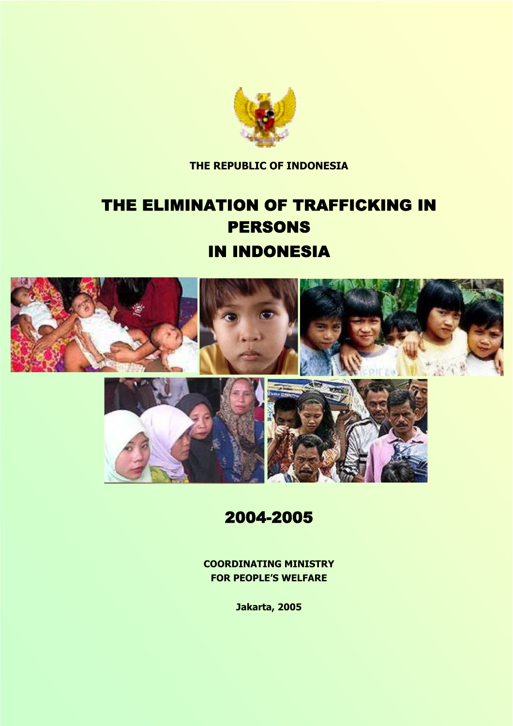

**THE REPUBLIC OF INDONESIA** 

# THE ELIMINATION OF TRAFFICKING IN PERSONS IN INDONESIA



### 2004-2005

**COORDINATING MINISTRY FOR PEOPLE'S WELFARE** 

**Jakarta, 2005**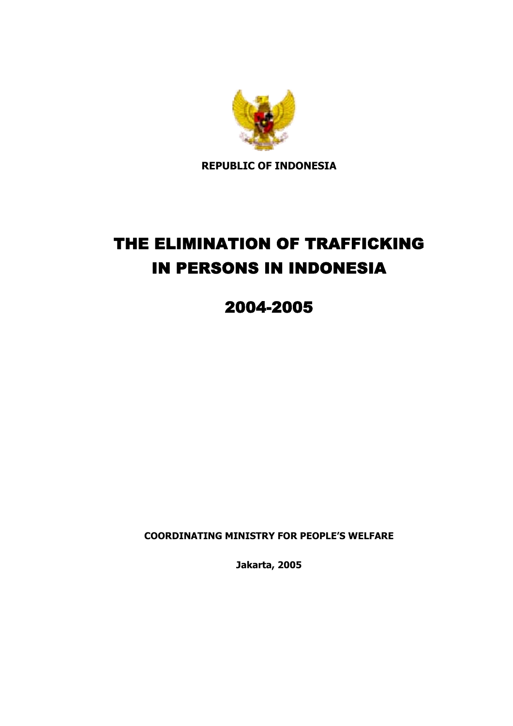

**REPUBLIC OF INDONESIA** 

# THE ELIMINATION OF TRAFFICKING IN PERSONS IN INDONESIA

## 2004-2005

**COORDINATING MINISTRY FOR PEOPLE'S WELFARE** 

**Jakarta, 2005**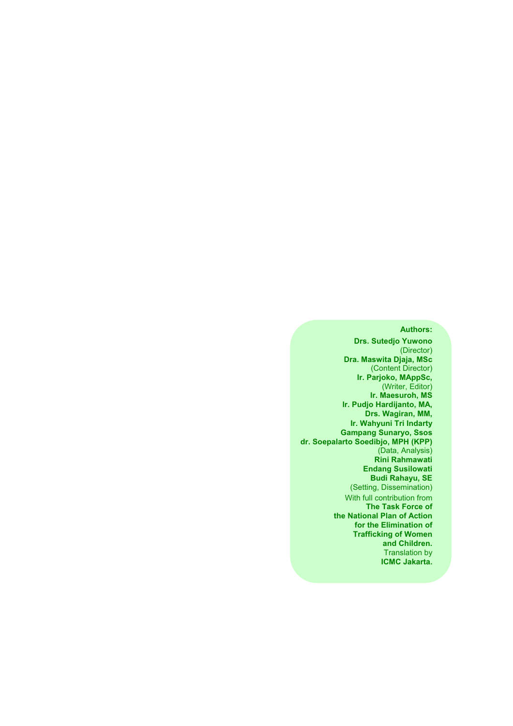#### **Authors:**

**Drs. Sutedjo Yuwono** (Director) **Dra. Maswita Djaja, MSc** (Content Director) **Ir. Parjoko, MAppSc,** (Writer, Editor) **Ir. Maesuroh, MS Ir. Pudjo Hardijanto, MA, Drs. Wagiran, MM, Ir. Wahyuni Tri Indarty Gampang Sunaryo, Ssos dr. Soepalarto Soedibjo, MPH (KPP)** (Data, Analysis) **Rini Rahmawati Endang Susilowati Budi Rahayu, SE**  (Setting, Dissemination) With full contribution from **The Task Force of the National Plan of Action for the Elimination of Trafficking of Women and Children.**  Translation by **ICMC Jakarta.**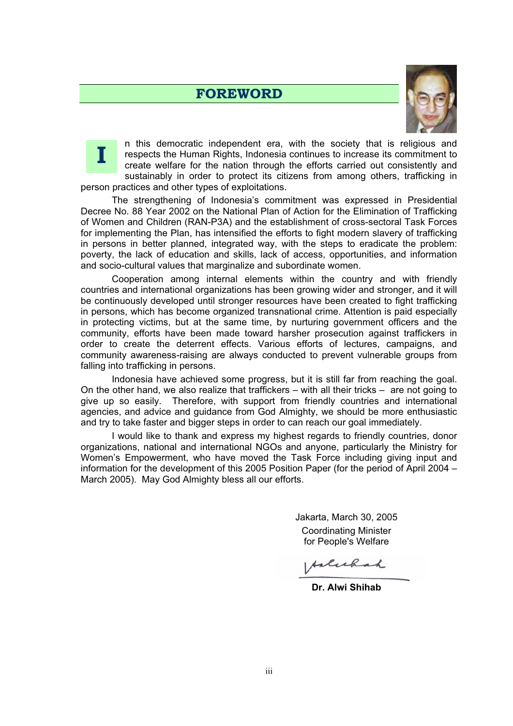#### **FOREWORD**





n this democratic independent era, with the society that is religious and respects the Human Rights, Indonesia continues to increase its commitment to create welfare for the nation through the efforts carried out consistently and sustainably in order to protect its citizens from among others, trafficking in person practices and other types of exploitations.

The strengthening of Indonesia's commitment was expressed in Presidential Decree No. 88 Year 2002 on the National Plan of Action for the Elimination of Trafficking of Women and Children (RAN-P3A) and the establishment of cross-sectoral Task Forces for implementing the Plan, has intensified the efforts to fight modern slavery of trafficking in persons in better planned, integrated way, with the steps to eradicate the problem: poverty, the lack of education and skills, lack of access, opportunities, and information and socio-cultural values that marginalize and subordinate women.

Cooperation among internal elements within the country and with friendly countries and international organizations has been growing wider and stronger, and it will be continuously developed until stronger resources have been created to fight trafficking in persons, which has become organized transnational crime. Attention is paid especially in protecting victims, but at the same time, by nurturing government officers and the community, efforts have been made toward harsher prosecution against traffickers in order to create the deterrent effects. Various efforts of lectures, campaigns, and community awareness-raising are always conducted to prevent vulnerable groups from falling into trafficking in persons.

Indonesia have achieved some progress, but it is still far from reaching the goal. On the other hand, we also realize that traffickers – with all their tricks – are not going to give up so easily. Therefore, with support from friendly countries and international agencies, and advice and guidance from God Almighty, we should be more enthusiastic and try to take faster and bigger steps in order to can reach our goal immediately.

I would like to thank and express my highest regards to friendly countries, donor organizations, national and international NGOs and anyone, particularly the Ministry for Women's Empowerment, who have moved the Task Force including giving input and information for the development of this 2005 Position Paper (for the period of April 2004 – March 2005). May God Almighty bless all our efforts.

> Jakarta, March 30, 2005 Coordinating Minister for People's Welfare

*Arlichah* 

**Dr. Alwi Shihab**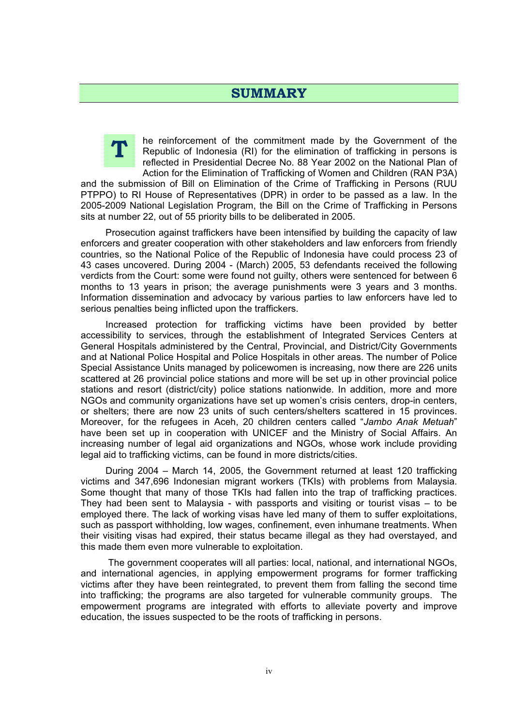#### **SUMMARY**



he reinforcement of the commitment made by the Government of the Republic of Indonesia (RI) for the elimination of trafficking in persons is reflected in Presidential Decree No. 88 Year 2002 on the National Plan of Action for the Elimination of Trafficking of Women and Children (RAN P3A)

and the submission of Bill on Elimination of the Crime of Trafficking in Persons (RUU PTPPO) to RI House of Representatives (DPR) in order to be passed as a law. In the 2005-2009 National Legislation Program, the Bill on the Crime of Trafficking in Persons sits at number 22, out of 55 priority bills to be deliberated in 2005.

Prosecution against traffickers have been intensified by building the capacity of law enforcers and greater cooperation with other stakeholders and law enforcers from friendly countries, so the National Police of the Republic of Indonesia have could process 23 of 43 cases uncovered. During 2004 - (March) 2005, 53 defendants received the following verdicts from the Court: some were found not guilty, others were sentenced for between 6 months to 13 years in prison; the average punishments were 3 years and 3 months. Information dissemination and advocacy by various parties to law enforcers have led to serious penalties being inflicted upon the traffickers.

Increased protection for trafficking victims have been provided by better accessibility to services, through the establishment of Integrated Services Centers at General Hospitals administered by the Central, Provincial, and District/City Governments and at National Police Hospital and Police Hospitals in other areas. The number of Police Special Assistance Units managed by policewomen is increasing, now there are 226 units scattered at 26 provincial police stations and more will be set up in other provincial police stations and resort (district/city) police stations nationwide. In addition, more and more NGOs and community organizations have set up women's crisis centers, drop-in centers, or shelters; there are now 23 units of such centers/shelters scattered in 15 provinces. Moreover, for the refugees in Aceh, 20 children centers called "*Jambo Anak Metuah*" have been set up in cooperation with UNICEF and the Ministry of Social Affairs. An increasing number of legal aid organizations and NGOs, whose work include providing legal aid to trafficking victims, can be found in more districts/cities.

During 2004 – March 14, 2005, the Government returned at least 120 trafficking victims and 347,696 Indonesian migrant workers (TKIs) with problems from Malaysia. Some thought that many of those TKIs had fallen into the trap of trafficking practices. They had been sent to Malaysia - with passports and visiting or tourist visas – to be employed there. The lack of working visas have led many of them to suffer exploitations, such as passport withholding, low wages, confinement, even inhumane treatments. When their visiting visas had expired, their status became illegal as they had overstayed, and this made them even more vulnerable to exploitation.

 The government cooperates will all parties: local, national, and international NGOs, and international agencies, in applying empowerment programs for former trafficking victims after they have been reintegrated, to prevent them from falling the second time into trafficking; the programs are also targeted for vulnerable community groups. The empowerment programs are integrated with efforts to alleviate poverty and improve education, the issues suspected to be the roots of trafficking in persons.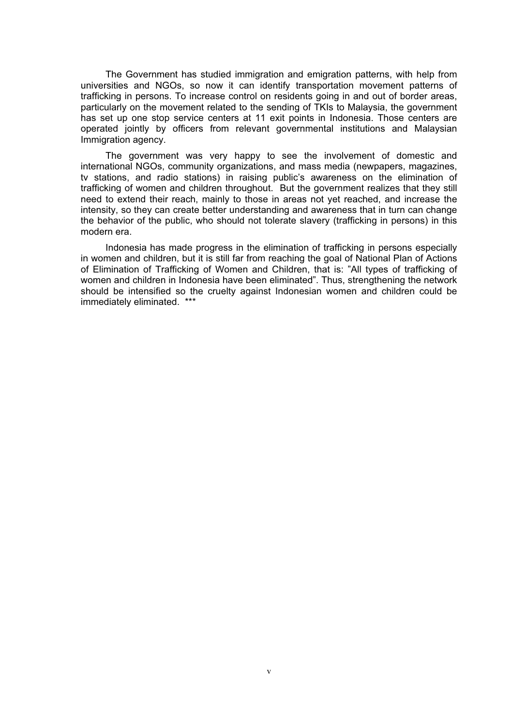The Government has studied immigration and emigration patterns, with help from universities and NGOs, so now it can identify transportation movement patterns of trafficking in persons. To increase control on residents going in and out of border areas, particularly on the movement related to the sending of TKIs to Malaysia, the government has set up one stop service centers at 11 exit points in Indonesia. Those centers are operated jointly by officers from relevant governmental institutions and Malaysian Immigration agency.

The government was very happy to see the involvement of domestic and international NGOs, community organizations, and mass media (newpapers, magazines, tv stations, and radio stations) in raising public's awareness on the elimination of trafficking of women and children throughout. But the government realizes that they still need to extend their reach, mainly to those in areas not yet reached, and increase the intensity, so they can create better understanding and awareness that in turn can change the behavior of the public, who should not tolerate slavery (trafficking in persons) in this modern era.

Indonesia has made progress in the elimination of trafficking in persons especially in women and children, but it is still far from reaching the goal of National Plan of Actions of Elimination of Trafficking of Women and Children, that is: "All types of trafficking of women and children in Indonesia have been eliminated". Thus, strengthening the network should be intensified so the cruelty against Indonesian women and children could be immediately eliminated. \*\*\*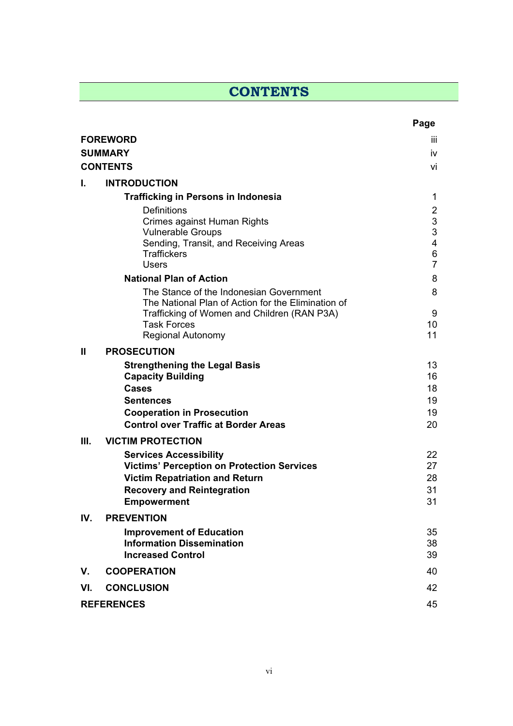### **CONTENTS**

|                |                                                                            | Page                |
|----------------|----------------------------------------------------------------------------|---------------------|
|                | <b>FOREWORD</b>                                                            | iii.                |
| <b>SUMMARY</b> |                                                                            |                     |
|                | <b>CONTENTS</b>                                                            | vi                  |
| L.             | <b>INTRODUCTION</b>                                                        |                     |
|                | <b>Trafficking in Persons in Indonesia</b>                                 | 1                   |
|                | <b>Definitions</b>                                                         | $\overline{2}$      |
|                | Crimes against Human Rights<br><b>Vulnerable Groups</b>                    | $\mathfrak{S}$<br>3 |
|                | Sending, Transit, and Receiving Areas                                      | 4                   |
|                | <b>Traffickers</b><br><b>Users</b>                                         | 6<br>$\overline{7}$ |
|                | <b>National Plan of Action</b>                                             | 8                   |
|                | The Stance of the Indonesian Government                                    | 8                   |
|                | The National Plan of Action for the Elimination of                         |                     |
|                | Trafficking of Women and Children (RAN P3A)<br><b>Task Forces</b>          | 9<br>10             |
|                | <b>Regional Autonomy</b>                                                   | 11                  |
| $\mathbf{I}$   | <b>PROSECUTION</b>                                                         |                     |
|                | <b>Strengthening the Legal Basis</b>                                       | 13                  |
|                | <b>Capacity Building</b>                                                   | 16                  |
|                | <b>Cases</b><br><b>Sentences</b>                                           | 18<br>19            |
|                | <b>Cooperation in Prosecution</b>                                          | 19                  |
|                | <b>Control over Traffic at Border Areas</b>                                | 20                  |
| III.           | <b>VICTIM PROTECTION</b>                                                   |                     |
|                | <b>Services Accessibility</b>                                              | 22                  |
|                | <b>Victims' Perception on Protection Services</b>                          | 27                  |
|                | <b>Victim Repatriation and Return</b><br><b>Recovery and Reintegration</b> | 28<br>31            |
|                | <b>Empowerment</b>                                                         | 31                  |
| IV.            | <b>PREVENTION</b>                                                          |                     |
|                | <b>Improvement of Education</b>                                            | 35                  |
|                | <b>Information Dissemination</b>                                           | 38                  |
|                | <b>Increased Control</b>                                                   | 39                  |
| V.             | <b>COOPERATION</b>                                                         | 40                  |
| VI.            | <b>CONCLUSION</b>                                                          | 42                  |
|                | <b>REFERENCES</b>                                                          | 45                  |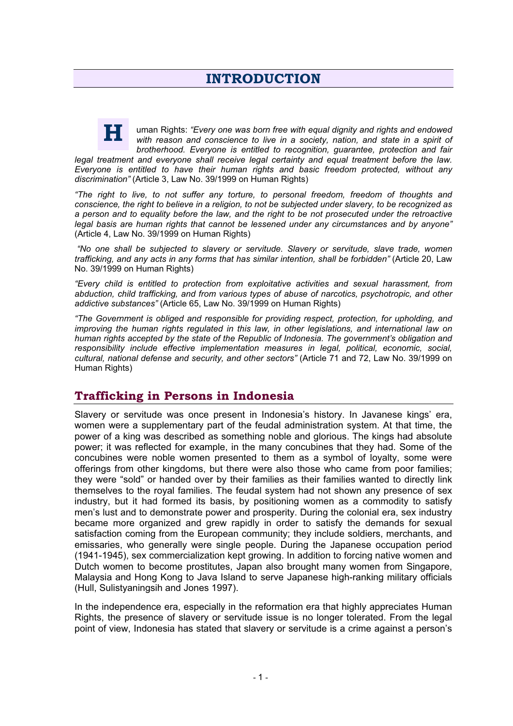uman Rights: *"Every one was born free with equal dignity and rights and endowed with reason and conscience to live in a society, nation, and state in a spirit of brotherhood. Everyone is entitled to recognition, guarantee, protection and fair*  **H**

*legal treatment and everyone shall receive legal certainty and equal treatment before the law. Everyone is entitled to have their human rights and basic freedom protected, without any discrimination"* (Article 3, Law No. 39/1999 on Human Rights)

*"The right to live, to not suffer any torture, to personal freedom, freedom of thoughts and conscience, the right to believe in a religion, to not be subjected under slavery, to be recognized as a person and to equality before the law, and the right to be not prosecuted under the retroactive legal basis are human rights that cannot be lessened under any circumstances and by anyone"*  (Article 4, Law No. 39/1999 on Human Rights)

 *"No one shall be subjected to slavery or servitude. Slavery or servitude, slave trade, women trafficking, and any acts in any forms that has similar intention, shall be forbidden"* (Article 20, Law No. 39/1999 on Human Rights)

*"Every child is entitled to protection from exploitative activities and sexual harassment, from abduction, child trafficking, and from various types of abuse of narcotics, psychotropic, and other addictive substances"* (Article 65, Law No. 39/1999 on Human Rights)

*"The Government is obliged and responsible for providing respect, protection, for upholding, and improving the human rights regulated in this law, in other legislations, and international law on human rights accepted by the state of the Republic of Indonesia. The government's obligation and responsibility include effective implementation measures in legal, political, economic, social, cultural, national defense and security, and other sectors"* (Article 71 and 72, Law No. 39/1999 on Human Rights)

#### **Trafficking in Persons in Indonesia**

Slavery or servitude was once present in Indonesia's history. In Javanese kings' era, women were a supplementary part of the feudal administration system. At that time, the power of a king was described as something noble and glorious. The kings had absolute power; it was reflected for example, in the many concubines that they had. Some of the concubines were noble women presented to them as a symbol of loyalty, some were offerings from other kingdoms, but there were also those who came from poor families; they were "sold" or handed over by their families as their families wanted to directly link themselves to the royal families. The feudal system had not shown any presence of sex industry, but it had formed its basis, by positioning women as a commodity to satisfy men's lust and to demonstrate power and prosperity. During the colonial era, sex industry became more organized and grew rapidly in order to satisfy the demands for sexual satisfaction coming from the European community; they include soldiers, merchants, and emissaries, who generally were single people. During the Japanese occupation period (1941-1945), sex commercialization kept growing. In addition to forcing native women and Dutch women to become prostitutes, Japan also brought many women from Singapore, Malaysia and Hong Kong to Java Island to serve Japanese high-ranking military officials (Hull, Sulistyaningsih and Jones 1997).

In the independence era, especially in the reformation era that highly appreciates Human Rights, the presence of slavery or servitude issue is no longer tolerated. From the legal point of view, Indonesia has stated that slavery or servitude is a crime against a person's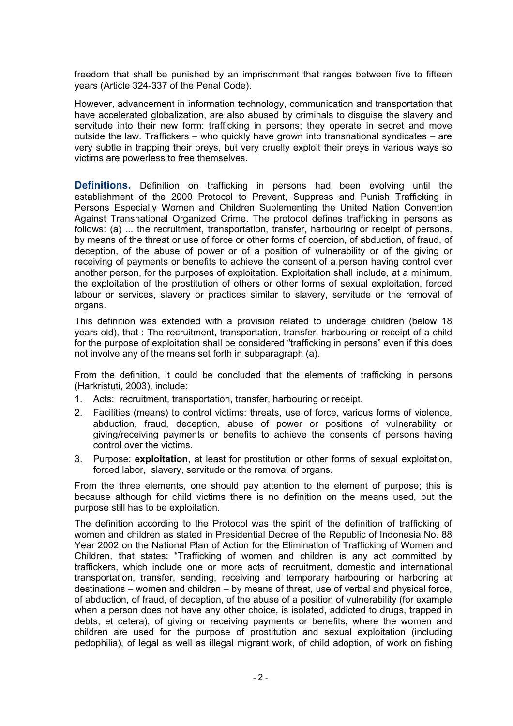freedom that shall be punished by an imprisonment that ranges between five to fifteen years (Article 324-337 of the Penal Code).

However, advancement in information technology, communication and transportation that have accelerated globalization, are also abused by criminals to disguise the slavery and servitude into their new form: trafficking in persons; they operate in secret and move outside the law. Traffickers – who quickly have grown into transnational syndicates – are very subtle in trapping their preys, but very cruelly exploit their preys in various ways so victims are powerless to free themselves.

**Definitions.** Definition on trafficking in persons had been evolving until the establishment of the 2000 Protocol to Prevent, Suppress and Punish Trafficking in Persons Especially Women and Children Suplementing the United Nation Convention Against Transnational Organized Crime. The protocol defines trafficking in persons as follows: (a) ... the recruitment, transportation, transfer, harbouring or receipt of persons, by means of the threat or use of force or other forms of coercion, of abduction, of fraud, of deception, of the abuse of power or of a position of vulnerability or of the giving or receiving of payments or benefits to achieve the consent of a person having control over another person, for the purposes of exploitation. Exploitation shall include, at a minimum, the exploitation of the prostitution of others or other forms of sexual exploitation, forced labour or services, slavery or practices similar to slavery, servitude or the removal of organs.

This definition was extended with a provision related to underage children (below 18 years old), that : The recruitment, transportation, transfer, harbouring or receipt of a child for the purpose of exploitation shall be considered "trafficking in persons" even if this does not involve any of the means set forth in subparagraph (a).

From the definition, it could be concluded that the elements of trafficking in persons (Harkristuti, 2003), include:

- 1. Acts: recruitment, transportation, transfer, harbouring or receipt.
- 2. Facilities (means) to control victims: threats, use of force, various forms of violence, abduction, fraud, deception, abuse of power or positions of vulnerability or giving/receiving payments or benefits to achieve the consents of persons having control over the victims.
- 3. Purpose: **exploitation**, at least for prostitution or other forms of sexual exploitation, forced labor, slavery, servitude or the removal of organs.

From the three elements, one should pay attention to the element of purpose; this is because although for child victims there is no definition on the means used, but the purpose still has to be exploitation.

The definition according to the Protocol was the spirit of the definition of trafficking of women and children as stated in Presidential Decree of the Republic of Indonesia No. 88 Year 2002 on the National Plan of Action for the Elimination of Trafficking of Women and Children, that states: "Trafficking of women and children is any act committed by traffickers, which include one or more acts of recruitment, domestic and international transportation, transfer, sending, receiving and temporary harbouring or harboring at destinations – women and children – by means of threat, use of verbal and physical force, of abduction, of fraud, of deception, of the abuse of a position of vulnerability (for example when a person does not have any other choice, is isolated, addicted to drugs, trapped in debts, et cetera), of giving or receiving payments or benefits, where the women and children are used for the purpose of prostitution and sexual exploitation (including pedophilia), of legal as well as illegal migrant work, of child adoption, of work on fishing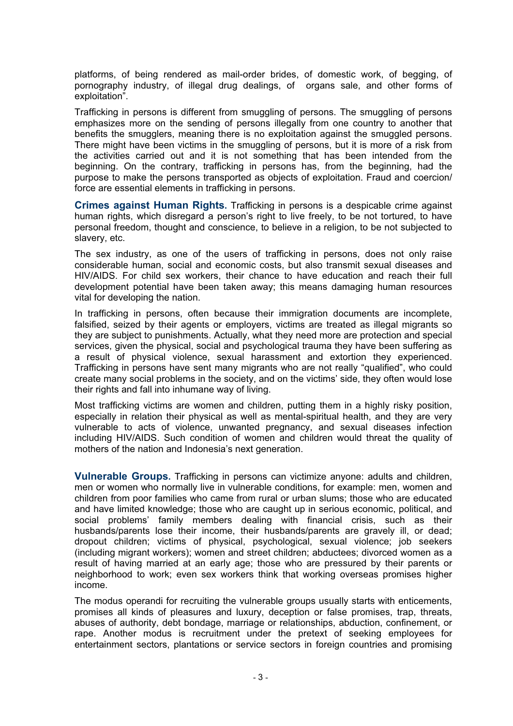platforms, of being rendered as mail-order brides, of domestic work, of begging, of pornography industry, of illegal drug dealings, of organs sale, and other forms of exploitation".

Trafficking in persons is different from smuggling of persons. The smuggling of persons emphasizes more on the sending of persons illegally from one country to another that benefits the smugglers, meaning there is no exploitation against the smuggled persons. There might have been victims in the smuggling of persons, but it is more of a risk from the activities carried out and it is not something that has been intended from the beginning. On the contrary, trafficking in persons has, from the beginning, had the purpose to make the persons transported as objects of exploitation. Fraud and coercion/ force are essential elements in trafficking in persons.

**Crimes against Human Rights.** Trafficking in persons is a despicable crime against human rights, which disregard a person's right to live freely, to be not tortured, to have personal freedom, thought and conscience, to believe in a religion, to be not subjected to slavery, etc.

The sex industry, as one of the users of trafficking in persons, does not only raise considerable human, social and economic costs, but also transmit sexual diseases and HIV/AIDS. For child sex workers, their chance to have education and reach their full development potential have been taken away; this means damaging human resources vital for developing the nation.

In trafficking in persons, often because their immigration documents are incomplete, falsified, seized by their agents or employers, victims are treated as illegal migrants so they are subject to punishments. Actually, what they need more are protection and special services, given the physical, social and psychological trauma they have been suffering as a result of physical violence, sexual harassment and extortion they experienced. Trafficking in persons have sent many migrants who are not really "qualified", who could create many social problems in the society, and on the victims' side, they often would lose their rights and fall into inhumane way of living.

Most trafficking victims are women and children, putting them in a highly risky position, especially in relation their physical as well as mental-spiritual health, and they are very vulnerable to acts of violence, unwanted pregnancy, and sexual diseases infection including HIV/AIDS. Such condition of women and children would threat the quality of mothers of the nation and Indonesia's next generation.

**Vulnerable Groups.** Trafficking in persons can victimize anyone: adults and children, men or women who normally live in vulnerable conditions, for example: men, women and children from poor families who came from rural or urban slums; those who are educated and have limited knowledge; those who are caught up in serious economic, political, and social problems' family members dealing with financial crisis, such as their husbands/parents lose their income, their husbands/parents are gravely ill, or dead; dropout children; victims of physical, psychological, sexual violence; job seekers (including migrant workers); women and street children; abductees; divorced women as a result of having married at an early age; those who are pressured by their parents or neighborhood to work; even sex workers think that working overseas promises higher income.

The modus operandi for recruiting the vulnerable groups usually starts with enticements, promises all kinds of pleasures and luxury, deception or false promises, trap, threats, abuses of authority, debt bondage, marriage or relationships, abduction, confinement, or rape. Another modus is recruitment under the pretext of seeking employees for entertainment sectors, plantations or service sectors in foreign countries and promising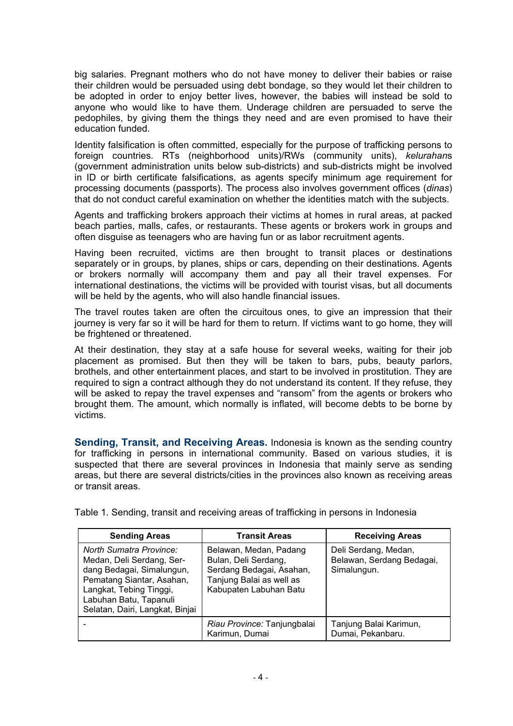big salaries. Pregnant mothers who do not have money to deliver their babies or raise their children would be persuaded using debt bondage, so they would let their children to be adopted in order to enjoy better lives, however, the babies will instead be sold to anyone who would like to have them. Underage children are persuaded to serve the pedophiles, by giving them the things they need and are even promised to have their education funded.

Identity falsification is often committed, especially for the purpose of trafficking persons to foreign countries. RTs (neighborhood units)/RWs (community units), *kelurahan*s (government administration units below sub-districts) and sub-districts might be involved in ID or birth certificate falsifications, as agents specify minimum age requirement for processing documents (passports). The process also involves government offices (*dinas*) that do not conduct careful examination on whether the identities match with the subjects.

Agents and trafficking brokers approach their victims at homes in rural areas, at packed beach parties, malls, cafes, or restaurants. These agents or brokers work in groups and often disguise as teenagers who are having fun or as labor recruitment agents.

Having been recruited, victims are then brought to transit places or destinations separately or in groups, by planes, ships or cars, depending on their destinations. Agents or brokers normally will accompany them and pay all their travel expenses. For international destinations, the victims will be provided with tourist visas, but all documents will be held by the agents, who will also handle financial issues.

The travel routes taken are often the circuitous ones, to give an impression that their journey is very far so it will be hard for them to return. If victims want to go home, they will be frightened or threatened.

At their destination, they stay at a safe house for several weeks, waiting for their job placement as promised. But then they will be taken to bars, pubs, beauty parlors, brothels, and other entertainment places, and start to be involved in prostitution. They are required to sign a contract although they do not understand its content. If they refuse, they will be asked to repay the travel expenses and "ransom" from the agents or brokers who brought them. The amount, which normally is inflated, will become debts to be borne by victims.

**Sending, Transit, and Receiving Areas.** Indonesia is known as the sending country for trafficking in persons in international community. Based on various studies, it is suspected that there are several provinces in Indonesia that mainly serve as sending areas, but there are several districts/cities in the provinces also known as receiving areas or transit areas.

| <b>Sending Areas</b>                                                                                                                                                                                          | <b>Transit Areas</b>                                                                                                             | <b>Receiving Areas</b>                                           |
|---------------------------------------------------------------------------------------------------------------------------------------------------------------------------------------------------------------|----------------------------------------------------------------------------------------------------------------------------------|------------------------------------------------------------------|
| <b>North Sumatra Province:</b><br>Medan, Deli Serdang, Ser-<br>dang Bedagai, Simalungun,<br>Pematang Siantar, Asahan,<br>Langkat, Tebing Tinggi,<br>Labuhan Batu, Tapanuli<br>Selatan, Dairi, Langkat, Binjai | Belawan, Medan, Padang<br>Bulan, Deli Serdang,<br>Serdang Bedagai, Asahan,<br>Tanjung Balai as well as<br>Kabupaten Labuhan Batu | Deli Serdang, Medan,<br>Belawan, Serdang Bedagai,<br>Simalungun. |
|                                                                                                                                                                                                               | Riau Province: Tanjungbalai<br>Karimun, Dumai                                                                                    | Tanjung Balai Karimun,<br>Dumai, Pekanbaru.                      |

Table 1. Sending, transit and receiving areas of trafficking in persons in Indonesia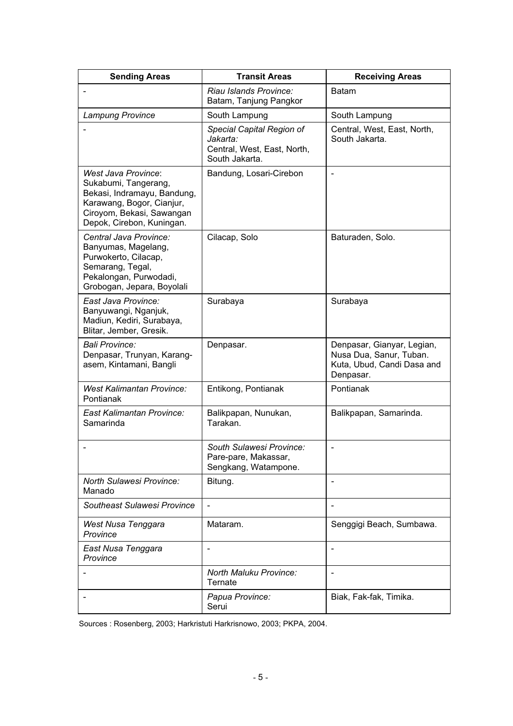| <b>Sending Areas</b>                                                                                                                                                     | <b>Transit Areas</b>                                                                   | <b>Receiving Areas</b>                                                                           |
|--------------------------------------------------------------------------------------------------------------------------------------------------------------------------|----------------------------------------------------------------------------------------|--------------------------------------------------------------------------------------------------|
|                                                                                                                                                                          | Riau Islands Province:<br>Batam, Tanjung Pangkor                                       | <b>Batam</b>                                                                                     |
| Lampung Province                                                                                                                                                         | South Lampung                                                                          | South Lampung                                                                                    |
|                                                                                                                                                                          | Special Capital Region of<br>Jakarta:<br>Central, West, East, North,<br>South Jakarta. | Central, West, East, North,<br>South Jakarta.                                                    |
| <b>West Java Province:</b><br>Sukabumi, Tangerang,<br>Bekasi, Indramayu, Bandung,<br>Karawang, Bogor, Cianjur,<br>Ciroyom, Bekasi, Sawangan<br>Depok, Cirebon, Kuningan. | Bandung, Losari-Cirebon                                                                | $\qquad \qquad \blacksquare$                                                                     |
| Central Java Province:<br>Banyumas, Magelang,<br>Purwokerto, Cilacap,<br>Semarang, Tegal,<br>Pekalongan, Purwodadi,<br>Grobogan, Jepara, Boyolali                        | Cilacap, Solo                                                                          | Baturaden, Solo.                                                                                 |
| East Java Province:<br>Banyuwangi, Nganjuk,<br>Madiun, Kediri, Surabaya,<br>Blitar, Jember, Gresik.                                                                      | Surabaya                                                                               | Surabaya                                                                                         |
| Bali Province:<br>Denpasar, Trunyan, Karang-<br>asem, Kintamani, Bangli                                                                                                  | Denpasar.                                                                              | Denpasar, Gianyar, Legian,<br>Nusa Dua, Sanur, Tuban.<br>Kuta, Ubud, Candi Dasa and<br>Denpasar. |
| <b>West Kalimantan Province:</b><br>Pontianak                                                                                                                            | Entikong, Pontianak                                                                    | Pontianak                                                                                        |
| East Kalimantan Province:<br>Samarinda                                                                                                                                   | Balikpapan, Nunukan,<br>Tarakan.                                                       | Balikpapan, Samarinda.                                                                           |
|                                                                                                                                                                          | South Sulawesi Province:<br>Pare-pare, Makassar,<br>Sengkang, Watampone.               | $\overline{\phantom{a}}$                                                                         |
| <b>North Sulawesi Province:</b><br>Manado                                                                                                                                | Bitung.                                                                                |                                                                                                  |
| Southeast Sulawesi Province                                                                                                                                              | $\overline{\phantom{a}}$                                                               |                                                                                                  |
| West Nusa Tenggara<br>Province                                                                                                                                           | Mataram.                                                                               | Senggigi Beach, Sumbawa.                                                                         |
| East Nusa Tenggara<br>Province                                                                                                                                           |                                                                                        |                                                                                                  |
|                                                                                                                                                                          | <b>North Maluku Province:</b><br>Ternate                                               | $\overline{\phantom{0}}$                                                                         |
|                                                                                                                                                                          | Papua Province:<br>Serui                                                               | Biak, Fak-fak, Timika.                                                                           |

Sources : Rosenberg, 2003; Harkristuti Harkrisnowo, 2003; PKPA, 2004.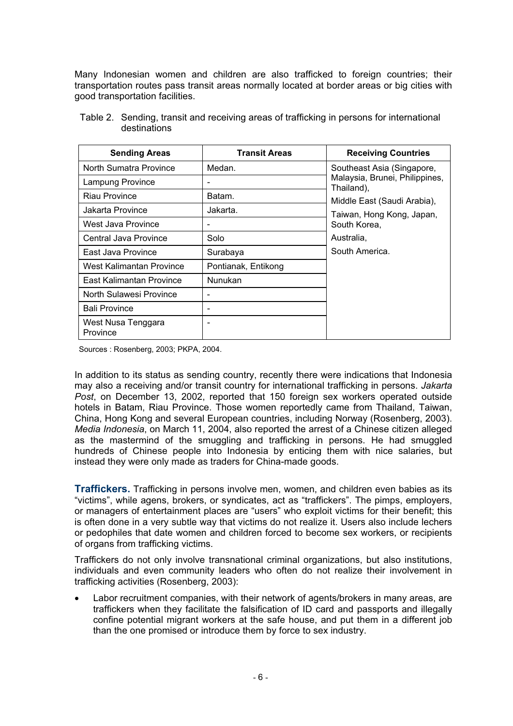Many Indonesian women and children are also trafficked to foreign countries; their transportation routes pass transit areas normally located at border areas or big cities with good transportation facilities.

| <b>Sending Areas</b>           | <b>Transit Areas</b>     | <b>Receiving Countries</b>                   |
|--------------------------------|--------------------------|----------------------------------------------|
| North Sumatra Province         | Medan.                   | Southeast Asia (Singapore,                   |
| Lampung Province               | $\overline{\phantom{a}}$ | Malaysia, Brunei, Philippines,<br>Thailand), |
| Riau Province                  | Batam.                   | Middle East (Saudi Arabia),                  |
| Jakarta Province               | Jakarta.                 | Taiwan, Hong Kong, Japan,                    |
| West Java Province             |                          | South Korea,                                 |
| Central Java Province          | Solo                     | Australia,                                   |
| East Java Province             | Surabaya                 | South America.                               |
| West Kalimantan Province       | Pontianak, Entikong      |                                              |
| East Kalimantan Province       | Nunukan                  |                                              |
| North Sulawesi Province        |                          |                                              |
| <b>Bali Province</b>           |                          |                                              |
| West Nusa Tenggara<br>Province |                          |                                              |

 Table 2. Sending, transit and receiving areas of trafficking in persons for international destinations

Sources : Rosenberg, 2003; PKPA, 2004.

In addition to its status as sending country, recently there were indications that Indonesia may also a receiving and/or transit country for international trafficking in persons. *Jakarta Post*, on December 13, 2002, reported that 150 foreign sex workers operated outside hotels in Batam, Riau Province. Those women reportedly came from Thailand, Taiwan, China, Hong Kong and several European countries, including Norway (Rosenberg, 2003). *Media Indonesia*, on March 11, 2004, also reported the arrest of a Chinese citizen alleged as the mastermind of the smuggling and trafficking in persons. He had smuggled hundreds of Chinese people into Indonesia by enticing them with nice salaries, but instead they were only made as traders for China-made goods.

**Traffickers.** Trafficking in persons involve men, women, and children even babies as its "victims", while agens, brokers, or syndicates, act as "traffickers". The pimps, employers, or managers of entertainment places are "users" who exploit victims for their benefit; this is often done in a very subtle way that victims do not realize it. Users also include lechers or pedophiles that date women and children forced to become sex workers, or recipients of organs from trafficking victims.

Traffickers do not only involve transnational criminal organizations, but also institutions, individuals and even community leaders who often do not realize their involvement in trafficking activities (Rosenberg, 2003):

Labor recruitment companies, with their network of agents/brokers in many areas, are traffickers when they facilitate the falsification of ID card and passports and illegally confine potential migrant workers at the safe house, and put them in a different job than the one promised or introduce them by force to sex industry.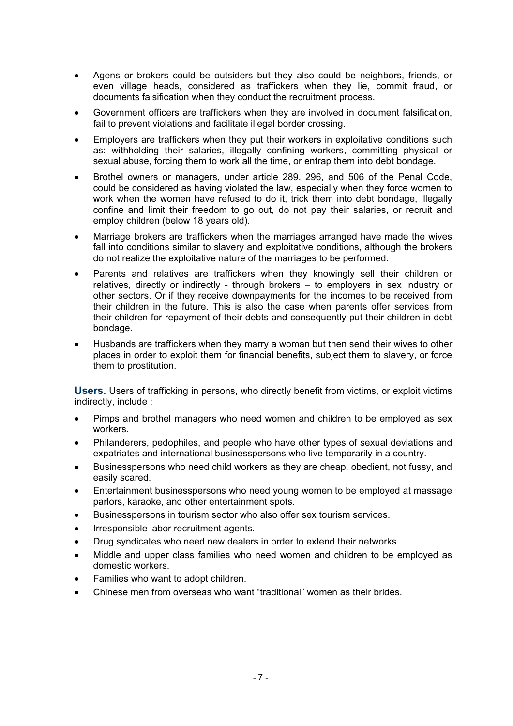- Agens or brokers could be outsiders but they also could be neighbors, friends, or even village heads, considered as traffickers when they lie, commit fraud, or documents falsification when they conduct the recruitment process.
- Government officers are traffickers when they are involved in document falsification, fail to prevent violations and facilitate illegal border crossing.
- Employers are traffickers when they put their workers in exploitative conditions such as: withholding their salaries, illegally confining workers, committing physical or sexual abuse, forcing them to work all the time, or entrap them into debt bondage.
- Brothel owners or managers, under article 289, 296, and 506 of the Penal Code, could be considered as having violated the law, especially when they force women to work when the women have refused to do it, trick them into debt bondage, illegally confine and limit their freedom to go out, do not pay their salaries, or recruit and employ children (below 18 years old).
- Marriage brokers are traffickers when the marriages arranged have made the wives fall into conditions similar to slavery and exploitative conditions, although the brokers do not realize the exploitative nature of the marriages to be performed.
- Parents and relatives are traffickers when they knowingly sell their children or relatives, directly or indirectly - through brokers – to employers in sex industry or other sectors. Or if they receive downpayments for the incomes to be received from their children in the future. This is also the case when parents offer services from their children for repayment of their debts and consequently put their children in debt bondage.
- Husbands are traffickers when they marry a woman but then send their wives to other places in order to exploit them for financial benefits, subject them to slavery, or force them to prostitution.

**Users.** Users of trafficking in persons, who directly benefit from victims, or exploit victims indirectly, include :

- Pimps and brothel managers who need women and children to be employed as sex workers.
- Philanderers, pedophiles, and people who have other types of sexual deviations and expatriates and international businesspersons who live temporarily in a country.
- Businesspersons who need child workers as they are cheap, obedient, not fussy, and easily scared.
- x Entertainment businesspersons who need young women to be employed at massage parlors, karaoke, and other entertainment spots.
- Businesspersons in tourism sector who also offer sex tourism services.
- Irresponsible labor recruitment agents.
- Drug syndicates who need new dealers in order to extend their networks.
- x Middle and upper class families who need women and children to be employed as domestic workers.
- Families who want to adopt children.
- x Chinese men from overseas who want "traditional" women as their brides.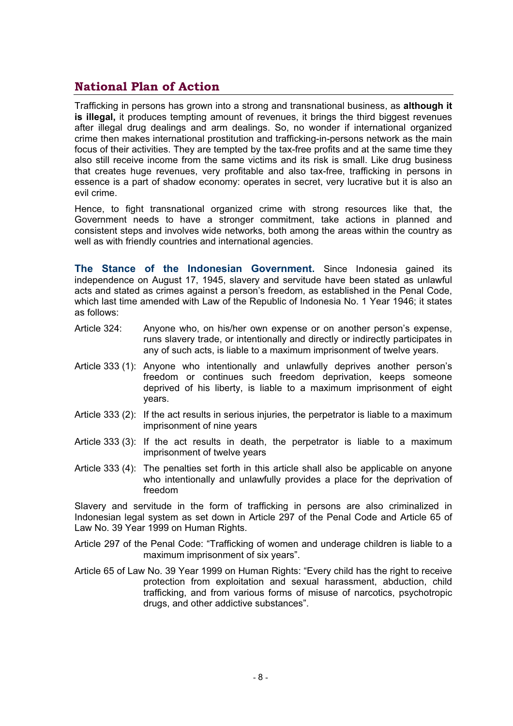#### **National Plan of Action**

Trafficking in persons has grown into a strong and transnational business, as **although it is illegal,** it produces tempting amount of revenues, it brings the third biggest revenues after illegal drug dealings and arm dealings. So, no wonder if international organized crime then makes international prostitution and trafficking-in-persons network as the main focus of their activities. They are tempted by the tax-free profits and at the same time they also still receive income from the same victims and its risk is small. Like drug business that creates huge revenues, very profitable and also tax-free, trafficking in persons in essence is a part of shadow economy: operates in secret, very lucrative but it is also an evil crime.

Hence, to fight transnational organized crime with strong resources like that, the Government needs to have a stronger commitment, take actions in planned and consistent steps and involves wide networks, both among the areas within the country as well as with friendly countries and international agencies.

**The Stance of the Indonesian Government.** Since Indonesia gained its independence on August 17, 1945, slavery and servitude have been stated as unlawful acts and stated as crimes against a person's freedom, as established in the Penal Code, which last time amended with Law of the Republic of Indonesia No. 1 Year 1946; it states as follows:

- Article 324: Anyone who, on his/her own expense or on another person's expense, runs slavery trade, or intentionally and directly or indirectly participates in any of such acts, is liable to a maximum imprisonment of twelve years.
- Article 333 (1): Anyone who intentionally and unlawfully deprives another person's freedom or continues such freedom deprivation, keeps someone deprived of his liberty, is liable to a maximum imprisonment of eight years.
- Article 333 (2): If the act results in serious injuries, the perpetrator is liable to a maximum imprisonment of nine years
- Article 333 (3): If the act results in death, the perpetrator is liable to a maximum imprisonment of twelve years
- Article 333 (4): The penalties set forth in this article shall also be applicable on anyone who intentionally and unlawfully provides a place for the deprivation of freedom

Slavery and servitude in the form of trafficking in persons are also criminalized in Indonesian legal system as set down in Article 297 of the Penal Code and Article 65 of Law No. 39 Year 1999 on Human Rights.

Article 297 of the Penal Code: "Trafficking of women and underage children is liable to a maximum imprisonment of six years".

Article 65 of Law No. 39 Year 1999 on Human Rights: "Every child has the right to receive protection from exploitation and sexual harassment, abduction, child trafficking, and from various forms of misuse of narcotics, psychotropic drugs, and other addictive substances".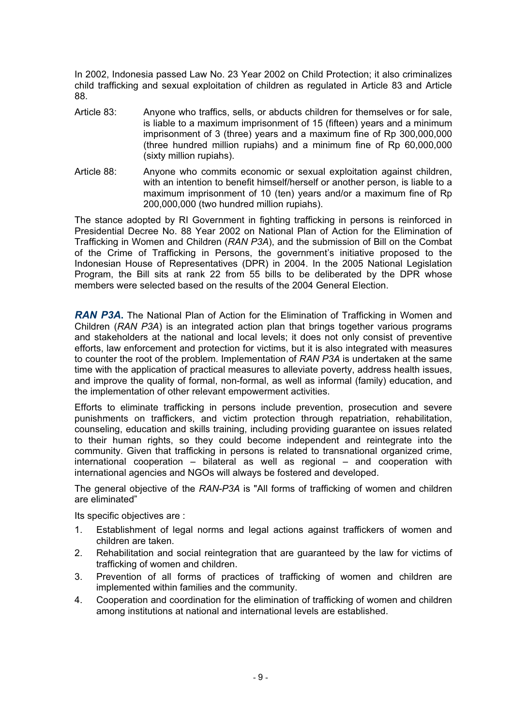In 2002, Indonesia passed Law No. 23 Year 2002 on Child Protection; it also criminalizes child trafficking and sexual exploitation of children as regulated in Article 83 and Article 88.

- Article 83: Anyone who traffics, sells, or abducts children for themselves or for sale, is liable to a maximum imprisonment of 15 (fifteen) years and a minimum imprisonment of 3 (three) years and a maximum fine of Rp 300,000,000 (three hundred million rupiahs) and a minimum fine of Rp 60,000,000 (sixty million rupiahs).
- Article 88: Anyone who commits economic or sexual exploitation against children, with an intention to benefit himself/herself or another person, is liable to a maximum imprisonment of 10 (ten) years and/or a maximum fine of Rp 200,000,000 (two hundred million rupiahs).

The stance adopted by RI Government in fighting trafficking in persons is reinforced in Presidential Decree No. 88 Year 2002 on National Plan of Action for the Elimination of Trafficking in Women and Children (*RAN P3A*), and the submission of Bill on the Combat of the Crime of Trafficking in Persons, the government's initiative proposed to the Indonesian House of Representatives (DPR) in 2004. In the 2005 National Legislation Program, the Bill sits at rank 22 from 55 bills to be deliberated by the DPR whose members were selected based on the results of the 2004 General Election.

*RAN P3A*. The National Plan of Action for the Elimination of Trafficking in Women and Children (*RAN P3A*) is an integrated action plan that brings together various programs and stakeholders at the national and local levels; it does not only consist of preventive efforts, law enforcement and protection for victims, but it is also integrated with measures to counter the root of the problem. Implementation of *RAN P3A* is undertaken at the same time with the application of practical measures to alleviate poverty, address health issues, and improve the quality of formal, non-formal, as well as informal (family) education, and the implementation of other relevant empowerment activities.

Efforts to eliminate trafficking in persons include prevention, prosecution and severe punishments on traffickers, and victim protection through repatriation, rehabilitation, counseling, education and skills training, including providing guarantee on issues related to their human rights, so they could become independent and reintegrate into the community. Given that trafficking in persons is related to transnational organized crime, international cooperation – bilateral as well as regional – and cooperation with international agencies and NGOs will always be fostered and developed.

The general objective of the *RAN-P3A* is "All forms of trafficking of women and children are eliminated"

Its specific objectives are :

- 1. Establishment of legal norms and legal actions against traffickers of women and children are taken.
- 2. Rehabilitation and social reintegration that are guaranteed by the law for victims of trafficking of women and children.
- 3. Prevention of all forms of practices of trafficking of women and children are implemented within families and the community.
- 4. Cooperation and coordination for the elimination of trafficking of women and children among institutions at national and international levels are established.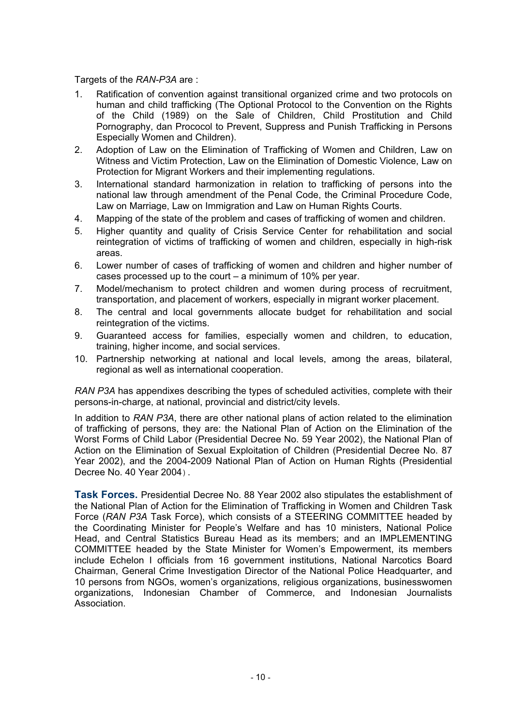Targets of the *RAN-P3A* are :

- 1. Ratification of convention against transitional organized crime and two protocols on human and child trafficking (The Optional Protocol to the Convention on the Rights of the Child (1989) on the Sale of Children, Child Prostitution and Child Pornography, dan Prococol to Prevent, Suppress and Punish Trafficking in Persons Especially Women and Children).
- 2. Adoption of Law on the Elimination of Trafficking of Women and Children, Law on Witness and Victim Protection, Law on the Elimination of Domestic Violence, Law on Protection for Migrant Workers and their implementing regulations.
- 3. International standard harmonization in relation to trafficking of persons into the national law through amendment of the Penal Code, the Criminal Procedure Code, Law on Marriage, Law on Immigration and Law on Human Rights Courts.
- 4. Mapping of the state of the problem and cases of trafficking of women and children.
- 5. Higher quantity and quality of Crisis Service Center for rehabilitation and social reintegration of victims of trafficking of women and children, especially in high-risk areas.
- 6. Lower number of cases of trafficking of women and children and higher number of cases processed up to the court – a minimum of 10% per year.
- 7. Model/mechanism to protect children and women during process of recruitment, transportation, and placement of workers, especially in migrant worker placement.
- 8. The central and local governments allocate budget for rehabilitation and social reintegration of the victims.
- 9. Guaranteed access for families, especially women and children, to education, training, higher income, and social services.
- 10. Partnership networking at national and local levels, among the areas, bilateral, regional as well as international cooperation.

*RAN P3A* has appendixes describing the types of scheduled activities, complete with their persons-in-charge, at national, provincial and district/city levels.

In addition to *RAN P3A*, there are other national plans of action related to the elimination of trafficking of persons, they are: the National Plan of Action on the Elimination of the Worst Forms of Child Labor (Presidential Decree No. 59 Year 2002), the National Plan of Action on the Elimination of Sexual Exploitation of Children (Presidential Decree No. 87 Year 2002), and the 2004-2009 National Plan of Action on Human Rights (Presidential Decree No. 40 Year 2004).

**Task Forces.** Presidential Decree No. 88 Year 2002 also stipulates the establishment of the National Plan of Action for the Elimination of Trafficking in Women and Children Task Force (*RAN P3A* Task Force), which consists of a STEERING COMMITTEE headed by the Coordinating Minister for People's Welfare and has 10 ministers, National Police Head, and Central Statistics Bureau Head as its members; and an IMPLEMENTING COMMITTEE headed by the State Minister for Women's Empowerment, its members include Echelon I officials from 16 government institutions, National Narcotics Board Chairman, General Crime Investigation Director of the National Police Headquarter, and 10 persons from NGOs, women's organizations, religious organizations, businesswomen organizations, Indonesian Chamber of Commerce, and Indonesian Journalists Association.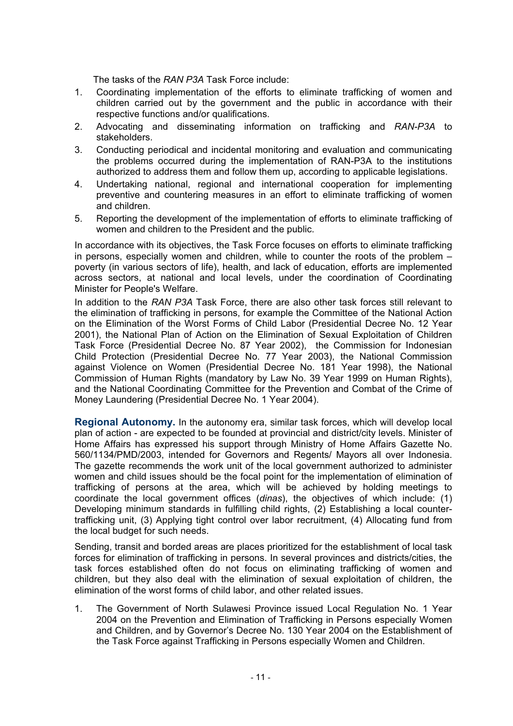The tasks of the *RAN P3A* Task Force include:

- 1. Coordinating implementation of the efforts to eliminate trafficking of women and children carried out by the government and the public in accordance with their respective functions and/or qualifications.
- 2. Advocating and disseminating information on trafficking and *RAN-P3A* to stakeholders.
- 3. Conducting periodical and incidental monitoring and evaluation and communicating the problems occurred during the implementation of RAN-P3A to the institutions authorized to address them and follow them up, according to applicable legislations.
- 4. Undertaking national, regional and international cooperation for implementing preventive and countering measures in an effort to eliminate trafficking of women and children.
- 5. Reporting the development of the implementation of efforts to eliminate trafficking of women and children to the President and the public.

In accordance with its objectives, the Task Force focuses on efforts to eliminate trafficking in persons, especially women and children, while to counter the roots of the problem – poverty (in various sectors of life), health, and lack of education, efforts are implemented across sectors, at national and local levels, under the coordination of Coordinating Minister for People's Welfare.

In addition to the *RAN P3A* Task Force, there are also other task forces still relevant to the elimination of trafficking in persons, for example the Committee of the National Action on the Elimination of the Worst Forms of Child Labor (Presidential Decree No. 12 Year 2001), the National Plan of Action on the Elimination of Sexual Exploitation of Children Task Force (Presidential Decree No. 87 Year 2002), the Commission for Indonesian Child Protection (Presidential Decree No. 77 Year 2003), the National Commission against Violence on Women (Presidential Decree No. 181 Year 1998), the National Commission of Human Rights (mandatory by Law No. 39 Year 1999 on Human Rights), and the National Coordinating Committee for the Prevention and Combat of the Crime of Money Laundering (Presidential Decree No. 1 Year 2004).

**Regional Autonomy.** In the autonomy era, similar task forces, which will develop local plan of action - are expected to be founded at provincial and district/city levels. Minister of Home Affairs has expressed his support through Ministry of Home Affairs Gazette No. 560/1134/PMD/2003, intended for Governors and Regents/ Mayors all over Indonesia. The gazette recommends the work unit of the local government authorized to administer women and child issues should be the focal point for the implementation of elimination of trafficking of persons at the area, which will be achieved by holding meetings to coordinate the local government offices (*dinas*), the objectives of which include: (1) Developing minimum standards in fulfilling child rights, (2) Establishing a local countertrafficking unit, (3) Applying tight control over labor recruitment, (4) Allocating fund from the local budget for such needs.

Sending, transit and borded areas are places prioritized for the establishment of local task forces for elimination of trafficking in persons. In several provinces and districts/cities, the task forces established often do not focus on eliminating trafficking of women and children, but they also deal with the elimination of sexual exploitation of children, the elimination of the worst forms of child labor, and other related issues.

1. The Government of North Sulawesi Province issued Local Regulation No. 1 Year 2004 on the Prevention and Elimination of Trafficking in Persons especially Women and Children, and by Governor's Decree No. 130 Year 2004 on the Establishment of the Task Force against Trafficking in Persons especially Women and Children.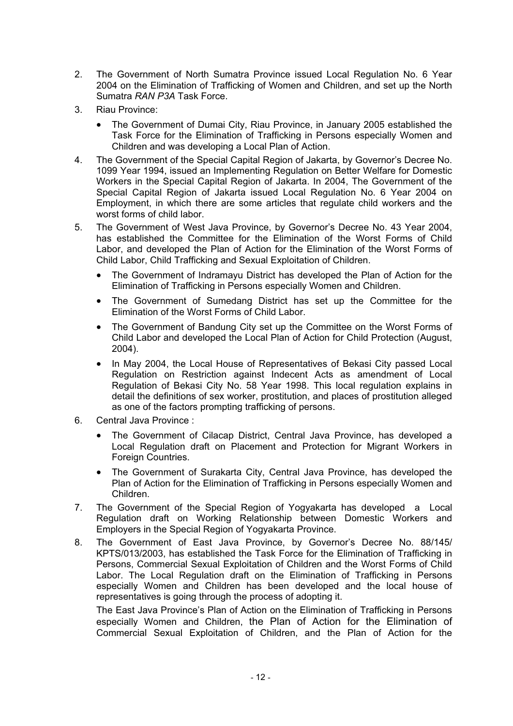- 2. The Government of North Sumatra Province issued Local Regulation No. 6 Year 2004 on the Elimination of Trafficking of Women and Children, and set up the North Sumatra *RAN P3A* Task Force.
- 3. Riau Province:
	- The Government of Dumai City, Riau Province, in January 2005 established the Task Force for the Elimination of Trafficking in Persons especially Women and Children and was developing a Local Plan of Action.
- 4. The Government of the Special Capital Region of Jakarta, by Governor's Decree No. 1099 Year 1994, issued an Implementing Regulation on Better Welfare for Domestic Workers in the Special Capital Region of Jakarta. In 2004, The Government of the Special Capital Region of Jakarta issued Local Regulation No. 6 Year 2004 on Employment, in which there are some articles that regulate child workers and the worst forms of child labor.
- 5. The Government of West Java Province, by Governor's Decree No. 43 Year 2004, has established the Committee for the Elimination of the Worst Forms of Child Labor, and developed the Plan of Action for the Elimination of the Worst Forms of Child Labor, Child Trafficking and Sexual Exploitation of Children.
	- The Government of Indramayu District has developed the Plan of Action for the Elimination of Trafficking in Persons especially Women and Children.
	- The Government of Sumedang District has set up the Committee for the Elimination of the Worst Forms of Child Labor.
	- The Government of Bandung City set up the Committee on the Worst Forms of Child Labor and developed the Local Plan of Action for Child Protection (August, 2004).
	- In May 2004, the Local House of Representatives of Bekasi City passed Local Regulation on Restriction against Indecent Acts as amendment of Local Regulation of Bekasi City No. 58 Year 1998. This local regulation explains in detail the definitions of sex worker, prostitution, and places of prostitution alleged as one of the factors prompting trafficking of persons.
- 6. Central Java Province :
	- x The Government of Cilacap District, Central Java Province, has developed a Local Regulation draft on Placement and Protection for Migrant Workers in Foreign Countries.
	- The Government of Surakarta City, Central Java Province, has developed the Plan of Action for the Elimination of Trafficking in Persons especially Women and Children.
- 7. The Government of the Special Region of Yogyakarta has developed a Local Regulation draft on Working Relationship between Domestic Workers and Employers in the Special Region of Yogyakarta Province.
- 8. The Government of East Java Province, by Governor's Decree No. 88/145/ KPTS/013/2003, has established the Task Force for the Elimination of Trafficking in Persons, Commercial Sexual Exploitation of Children and the Worst Forms of Child Labor. The Local Regulation draft on the Elimination of Trafficking in Persons especially Women and Children has been developed and the local house of representatives is going through the process of adopting it.

The East Java Province's Plan of Action on the Elimination of Trafficking in Persons especially Women and Children, the Plan of Action for the Elimination of Commercial Sexual Exploitation of Children, and the Plan of Action for the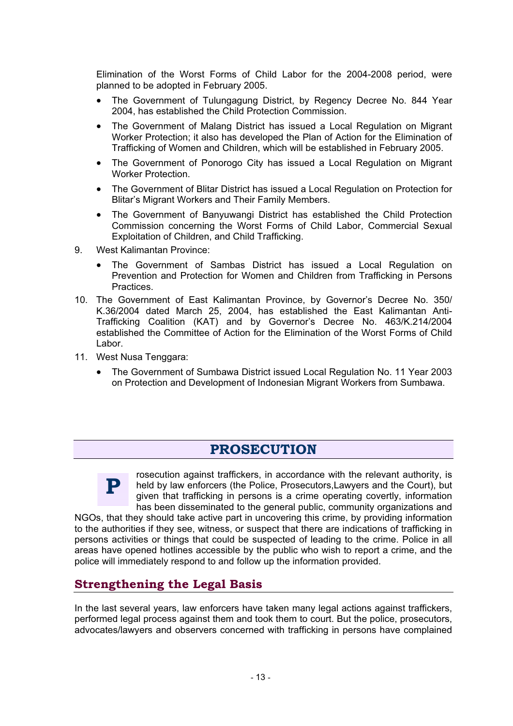Elimination of the Worst Forms of Child Labor for the 2004-2008 period, were planned to be adopted in February 2005.

- The Government of Tulungagung District, by Regency Decree No. 844 Year 2004, has established the Child Protection Commission.
- The Government of Malang District has issued a Local Regulation on Migrant Worker Protection; it also has developed the Plan of Action for the Elimination of Trafficking of Women and Children, which will be established in February 2005.
- The Government of Ponorogo City has issued a Local Regulation on Migrant Worker Protection.
- The Government of Blitar District has issued a Local Regulation on Protection for Blitar's Migrant Workers and Their Family Members.
- The Government of Banyuwangi District has established the Child Protection Commission concerning the Worst Forms of Child Labor, Commercial Sexual Exploitation of Children, and Child Trafficking.
- 9. West Kalimantan Province:
	- The Government of Sambas District has issued a Local Regulation on Prevention and Protection for Women and Children from Trafficking in Persons Practices.
- 10. The Government of East Kalimantan Province, by Governor's Decree No. 350/ K.36/2004 dated March 25, 2004, has established the East Kalimantan Anti-Trafficking Coalition (KAT) and by Governor's Decree No. 463/K.214/2004 established the Committee of Action for the Elimination of the Worst Forms of Child Labor.
- 11. West Nusa Tenggara:
	- The Government of Sumbawa District issued Local Regulation No. 11 Year 2003 on Protection and Development of Indonesian Migrant Workers from Sumbawa.

#### PROSECUTION



rosecution against traffickers, in accordance with the relevant authority, is held by law enforcers (the Police, Prosecutors,Lawyers and the Court), but given that trafficking in persons is a crime operating covertly, information has been disseminated to the general public, community organizations and

NGOs, that they should take active part in uncovering this crime, by providing information to the authorities if they see, witness, or suspect that there are indications of trafficking in persons activities or things that could be suspected of leading to the crime. Police in all areas have opened hotlines accessible by the public who wish to report a crime, and the police will immediately respond to and follow up the information provided.

#### **Strengthening the Legal Basis**

In the last several years, law enforcers have taken many legal actions against traffickers, performed legal process against them and took them to court. But the police, prosecutors, advocates/lawyers and observers concerned with trafficking in persons have complained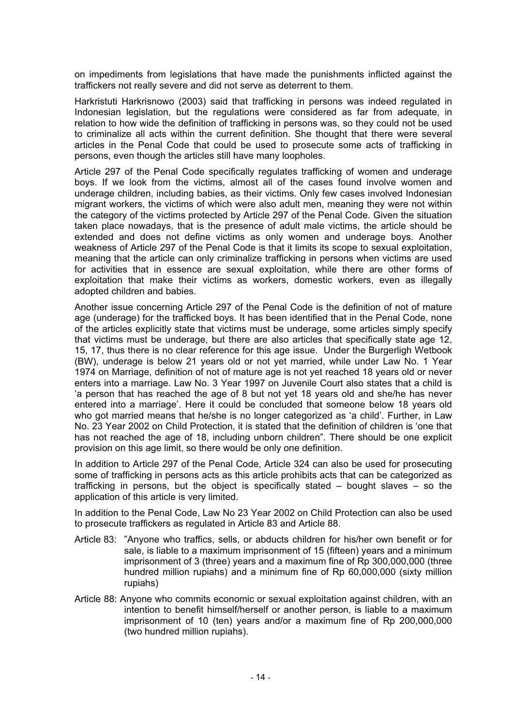on impediments from legislations that have made the punishments inflicted against the traffickers not really severe and did not serve as deterrent to them.

Harkristuti Harkrisnowo (2003) said that trafficking in persons was indeed regulated in Indonesian legislation, but the regulations were considered as far from adequate, in relation to how wide the definition of trafficking in persons was, so they could not be used to criminalize all acts within the current definition. She thought that there were several articles in the Penal Code that could be used to prosecute some acts of trafficking in persons, even though the articles still have many loopholes.

Article 297 of the Penal Code specifically regulates trafficking of women and underage boys. If we look from the victims, almost all of the cases found involve women and underage children, including babies, as their victims. Only few cases involved Indonesian migrant workers, the victims of which were also adult men, meaning they were not within the category of the victims protected by Article 297 of the Penal Code. Given the situation taken place nowadays, that is the presence of adult male victims, the article should be extended and does not define victims as only women and underage boys. Another weakness of Article 297 of the Penal Code is that it limits its scope to sexual exploitation, meaning that the article can only criminalize trafficking in persons when victims are used for activities that in essence are sexual exploitation, while there are other forms of exploitation that make their victims as workers, domestic workers, even as illegally adopted children and babies.

Another issue concerning Article 297 of the Penal Code is the definition of not of mature age (underage) for the trafficked boys. It has been identified that in the Penal Code, none of the articles explicitly state that victims must be underage, some articles simply specify that victims must be underage, but there are also articles that specifically state age 12, 15, 17, thus there is no clear reference for this age issue. Under the Burgerligh Wetbook (BW), underage is below 21 years old or not yet married, while under Law No. 1 Year 1974 on Marriage, definition of not of mature age is not yet reached 18 years old or never enters into a marriage. Law No. 3 Year 1997 on Juvenile Court also states that a child is 'a person that has reached the age of 8 but not yet 18 years old and she/he has never entered into a marriage'. Here it could be concluded that someone below 18 years old who got married means that he/she is no longer categorized as 'a child'. Further, in Law No. 23 Year 2002 on Child Protection, it is stated that the definition of children is 'one that has not reached the age of 18, including unborn children". There should be one explicit provision on this age limit, so there would be only one definition.

In addition to Article 297 of the Penal Code, Article 324 can also be used for prosecuting some of trafficking in persons acts as this article prohibits acts that can be categorized as trafficking in persons, but the object is specifically stated – bought slaves – so the application of this article is very limited.

In addition to the Penal Code, Law No 23 Year 2002 on Child Protection can also be used to prosecute traffickers as regulated in Article 83 and Article 88.

- Article 83: "Anyone who traffics, sells, or abducts children for his/her own benefit or for sale, is liable to a maximum imprisonment of 15 (fifteen) years and a minimum imprisonment of 3 (three) years and a maximum fine of Rp 300,000,000 (three hundred million rupiahs) and a minimum fine of Rp 60,000,000 (sixty million rupiahs)
- Article 88: Anyone who commits economic or sexual exploitation against children, with an intention to benefit himself/herself or another person, is liable to a maximum imprisonment of 10 (ten) years and/or a maximum fine of Rp 200,000,000 (two hundred million rupiahs).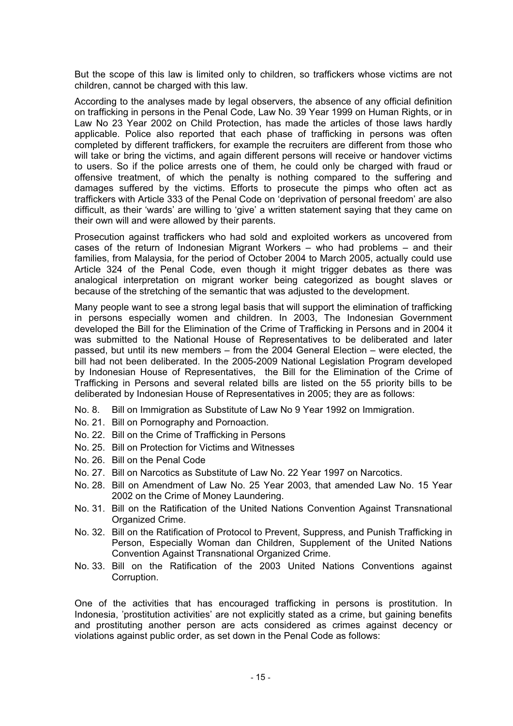But the scope of this law is limited only to children, so traffickers whose victims are not children, cannot be charged with this law.

According to the analyses made by legal observers, the absence of any official definition on trafficking in persons in the Penal Code, Law No. 39 Year 1999 on Human Rights, or in Law No 23 Year 2002 on Child Protection, has made the articles of those laws hardly applicable. Police also reported that each phase of trafficking in persons was often completed by different traffickers, for example the recruiters are different from those who will take or bring the victims, and again different persons will receive or handover victims to users. So if the police arrests one of them, he could only be charged with fraud or offensive treatment, of which the penalty is nothing compared to the suffering and damages suffered by the victims. Efforts to prosecute the pimps who often act as traffickers with Article 333 of the Penal Code on 'deprivation of personal freedom' are also difficult, as their 'wards' are willing to 'give' a written statement saying that they came on their own will and were allowed by their parents.

Prosecution against traffickers who had sold and exploited workers as uncovered from cases of the return of Indonesian Migrant Workers – who had problems – and their families, from Malaysia, for the period of October 2004 to March 2005, actually could use Article 324 of the Penal Code, even though it might trigger debates as there was analogical interpretation on migrant worker being categorized as bought slaves or because of the stretching of the semantic that was adjusted to the development.

Many people want to see a strong legal basis that will support the elimination of trafficking in persons especially women and children. In 2003, The Indonesian Government developed the Bill for the Elimination of the Crime of Trafficking in Persons and in 2004 it was submitted to the National House of Representatives to be deliberated and later passed, but until its new members – from the 2004 General Election – were elected, the bill had not been deliberated. In the 2005-2009 National Legislation Program developed by Indonesian House of Representatives, the Bill for the Elimination of the Crime of Trafficking in Persons and several related bills are listed on the 55 priority bills to be deliberated by Indonesian House of Representatives in 2005; they are as follows:

- No. 8. Bill on Immigration as Substitute of Law No 9 Year 1992 on Immigration.
- No. 21. Bill on Pornography and Pornoaction.
- No. 22. Bill on the Crime of Trafficking in Persons
- No. 25. Bill on Protection for Victims and Witnesses
- No. 26. Bill on the Penal Code
- No. 27. Bill on Narcotics as Substitute of Law No. 22 Year 1997 on Narcotics.
- No. 28. Bill on Amendment of Law No. 25 Year 2003, that amended Law No. 15 Year 2002 on the Crime of Money Laundering.
- No. 31. Bill on the Ratification of the United Nations Convention Against Transnational Organized Crime.
- No. 32. Bill on the Ratification of Protocol to Prevent, Suppress, and Punish Trafficking in Person, Especially Woman dan Children, Supplement of the United Nations Convention Against Transnational Organized Crime.
- No. 33. Bill on the Ratification of the 2003 United Nations Conventions against Corruption.

One of the activities that has encouraged trafficking in persons is prostitution. In Indonesia, 'prostitution activities' are not explicitly stated as a crime, but gaining benefits and prostituting another person are acts considered as crimes against decency or violations against public order, as set down in the Penal Code as follows: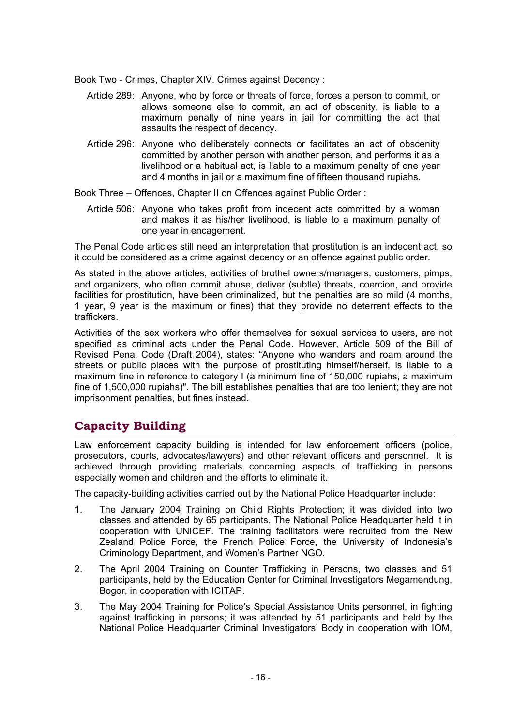Book Two - Crimes, Chapter XIV. Crimes against Decency :

- Article 289: Anyone, who by force or threats of force, forces a person to commit, or allows someone else to commit, an act of obscenity, is liable to a maximum penalty of nine years in jail for committing the act that assaults the respect of decency.
- Article 296: Anyone who deliberately connects or facilitates an act of obscenity committed by another person with another person, and performs it as a livelihood or a habitual act, is liable to a maximum penalty of one year and 4 months in jail or a maximum fine of fifteen thousand rupiahs.

Book Three – Offences, Chapter II on Offences against Public Order :

Article 506: Anyone who takes profit from indecent acts committed by a woman and makes it as his/her livelihood, is liable to a maximum penalty of one year in encagement.

The Penal Code articles still need an interpretation that prostitution is an indecent act, so it could be considered as a crime against decency or an offence against public order.

As stated in the above articles, activities of brothel owners/managers, customers, pimps, and organizers, who often commit abuse, deliver (subtle) threats, coercion, and provide facilities for prostitution, have been criminalized, but the penalties are so mild (4 months, 1 year, 9 year is the maximum or fines) that they provide no deterrent effects to the traffickers.

Activities of the sex workers who offer themselves for sexual services to users, are not specified as criminal acts under the Penal Code. However, Article 509 of the Bill of Revised Penal Code (Draft 2004), states: "Anyone who wanders and roam around the streets or public places with the purpose of prostituting himself/herself, is liable to a maximum fine in reference to category I (a minimum fine of 150,000 rupiahs, a maximum fine of 1,500,000 rupiahs)". The bill establishes penalties that are too lenient; they are not imprisonment penalties, but fines instead.

#### **Capacity Building**

Law enforcement capacity building is intended for law enforcement officers (police, prosecutors, courts, advocates/lawyers) and other relevant officers and personnel. It is achieved through providing materials concerning aspects of trafficking in persons especially women and children and the efforts to eliminate it.

The capacity-building activities carried out by the National Police Headquarter include:

- 1. The January 2004 Training on Child Rights Protection; it was divided into two classes and attended by 65 participants. The National Police Headquarter held it in cooperation with UNICEF. The training facilitators were recruited from the New Zealand Police Force, the French Police Force, the University of Indonesia's Criminology Department, and Women's Partner NGO.
- 2. The April 2004 Training on Counter Trafficking in Persons, two classes and 51 participants, held by the Education Center for Criminal Investigators Megamendung, Bogor, in cooperation with ICITAP.
- 3. The May 2004 Training for Police's Special Assistance Units personnel, in fighting against trafficking in persons; it was attended by 51 participants and held by the National Police Headquarter Criminal Investigators' Body in cooperation with IOM,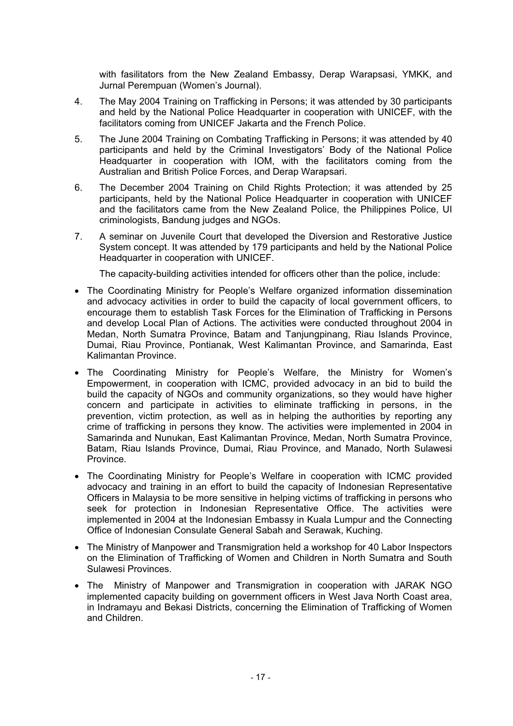with fasilitators from the New Zealand Embassy, Derap Warapsasi, YMKK, and Jurnal Perempuan (Women's Journal).

- 4. The May 2004 Training on Trafficking in Persons; it was attended by 30 participants and held by the National Police Headquarter in cooperation with UNICEF, with the facilitators coming from UNICEF Jakarta and the French Police.
- 5. The June 2004 Training on Combating Trafficking in Persons; it was attended by 40 participants and held by the Criminal Investigators' Body of the National Police Headquarter in cooperation with IOM, with the facilitators coming from the Australian and British Police Forces, and Derap Warapsari.
- 6. The December 2004 Training on Child Rights Protection; it was attended by 25 participants, held by the National Police Headquarter in cooperation with UNICEF and the facilitators came from the New Zealand Police, the Philippines Police, UI criminologists, Bandung judges and NGOs.
- 7. A seminar on Juvenile Court that developed the Diversion and Restorative Justice System concept. It was attended by 179 participants and held by the National Police Headquarter in cooperation with UNICEF.

The capacity-building activities intended for officers other than the police, include:

- The Coordinating Ministry for People's Welfare organized information dissemination and advocacy activities in order to build the capacity of local government officers, to encourage them to establish Task Forces for the Elimination of Trafficking in Persons and develop Local Plan of Actions. The activities were conducted throughout 2004 in Medan, North Sumatra Province, Batam and Tanjungpinang, Riau Islands Province, Dumai, Riau Province, Pontianak, West Kalimantan Province, and Samarinda, East Kalimantan Province.
- The Coordinating Ministry for People's Welfare, the Ministry for Women's Empowerment, in cooperation with ICMC, provided advocacy in an bid to build the build the capacity of NGOs and community organizations, so they would have higher concern and participate in activities to eliminate trafficking in persons, in the prevention, victim protection, as well as in helping the authorities by reporting any crime of trafficking in persons they know. The activities were implemented in 2004 in Samarinda and Nunukan, East Kalimantan Province, Medan, North Sumatra Province, Batam, Riau Islands Province, Dumai, Riau Province, and Manado, North Sulawesi Province.
- The Coordinating Ministry for People's Welfare in cooperation with ICMC provided advocacy and training in an effort to build the capacity of Indonesian Representative Officers in Malaysia to be more sensitive in helping victims of trafficking in persons who seek for protection in Indonesian Representative Office. The activities were implemented in 2004 at the Indonesian Embassy in Kuala Lumpur and the Connecting Office of Indonesian Consulate General Sabah and Serawak, Kuching.
- The Ministry of Manpower and Transmigration held a workshop for 40 Labor Inspectors on the Elimination of Trafficking of Women and Children in North Sumatra and South Sulawesi Provinces.
- The Ministry of Manpower and Transmigration in cooperation with JARAK NGO implemented capacity building on government officers in West Java North Coast area, in Indramayu and Bekasi Districts, concerning the Elimination of Trafficking of Women and Children.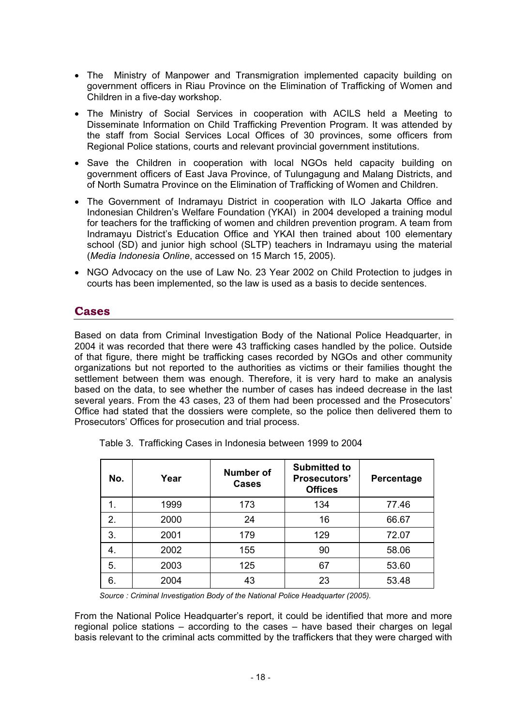- The Ministry of Manpower and Transmigration implemented capacity building on government officers in Riau Province on the Elimination of Trafficking of Women and Children in a five-day workshop.
- The Ministry of Social Services in cooperation with ACILS held a Meeting to Disseminate Information on Child Trafficking Prevention Program. It was attended by the staff from Social Services Local Offices of 30 provinces, some officers from Regional Police stations, courts and relevant provincial government institutions.
- Save the Children in cooperation with local NGOs held capacity building on government officers of East Java Province, of Tulungagung and Malang Districts, and of North Sumatra Province on the Elimination of Trafficking of Women and Children.
- The Government of Indramayu District in cooperation with ILO Jakarta Office and Indonesian Children's Welfare Foundation (YKAI) in 2004 developed a training modul for teachers for the trafficking of women and children prevention program. A team from Indramayu District's Education Office and YKAI then trained about 100 elementary school (SD) and junior high school (SLTP) teachers in Indramayu using the material (*Media Indonesia Online*, accessed on 15 March 15, 2005).
- NGO Advocacy on the use of Law No. 23 Year 2002 on Child Protection to judges in courts has been implemented, so the law is used as a basis to decide sentences.

#### **Cases**

Based on data from Criminal Investigation Body of the National Police Headquarter, in 2004 it was recorded that there were 43 trafficking cases handled by the police. Outside of that figure, there might be trafficking cases recorded by NGOs and other community organizations but not reported to the authorities as victims or their families thought the settlement between them was enough. Therefore, it is very hard to make an analysis based on the data, to see whether the number of cases has indeed decrease in the last several years. From the 43 cases, 23 of them had been processed and the Prosecutors' Office had stated that the dossiers were complete, so the police then delivered them to Prosecutors' Offices for prosecution and trial process.

| No. | Year | Number of<br><b>Cases</b> | <b>Submitted to</b><br><b>Prosecutors'</b><br><b>Offices</b> | Percentage |
|-----|------|---------------------------|--------------------------------------------------------------|------------|
|     | 1999 | 173                       | 134                                                          | 77.46      |
| 2.  | 2000 | 24                        | 16                                                           | 66.67      |
| 3.  | 2001 | 179                       | 129                                                          | 72.07      |
| 4.  | 2002 | 155                       | 90                                                           | 58.06      |
| 5.  | 2003 | 125                       | 67                                                           | 53.60      |
| 6.  | 2004 | 43                        | 23                                                           | 53.48      |

Table 3. Trafficking Cases in Indonesia between 1999 to 2004

*Source : Criminal Investigation Body of the National Police Headquarter (2005).* 

From the National Police Headquarter's report, it could be identified that more and more regional police stations – according to the cases – have based their charges on legal basis relevant to the criminal acts committed by the traffickers that they were charged with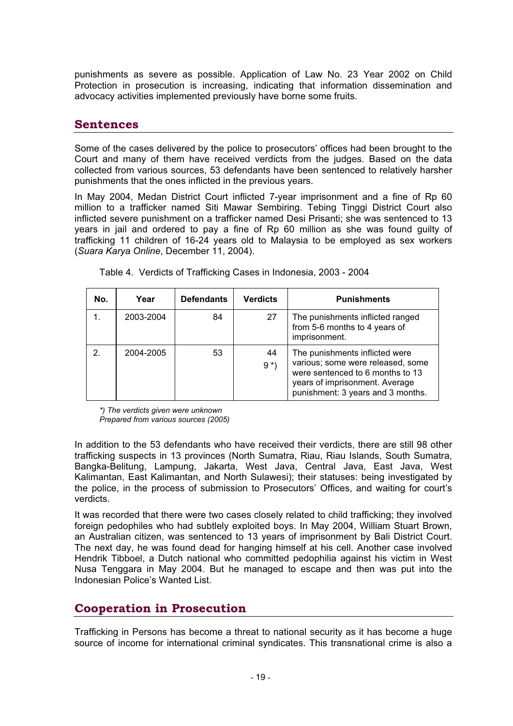punishments as severe as possible. Application of Law No. 23 Year 2002 on Child Protection in prosecution is increasing, indicating that information dissemination and advocacy activities implemented previously have borne some fruits.

#### **Sentences**

Some of the cases delivered by the police to prosecutors' offices had been brought to the Court and many of them have received verdicts from the judges. Based on the data collected from various sources, 53 defendants have been sentenced to relatively harsher punishments that the ones inflicted in the previous years.

In May 2004, Medan District Court inflicted 7-year imprisonment and a fine of Rp 60 million to a trafficker named Siti Mawar Sembiring. Tebing Tinggi District Court also inflicted severe punishment on a trafficker named Desi Prisanti; she was sentenced to 13 years in jail and ordered to pay a fine of Rp 60 million as she was found guilty of trafficking 11 children of 16-24 years old to Malaysia to be employed as sex workers (*Suara Karya Online*, December 11, 2004).

| No. | Year      | <b>Defendants</b> | <b>Verdicts</b> | <b>Punishments</b>                                                                                                                                                             |
|-----|-----------|-------------------|-----------------|--------------------------------------------------------------------------------------------------------------------------------------------------------------------------------|
|     | 2003-2004 | 84                | 27              | The punishments inflicted ranged<br>from 5-6 months to 4 years of<br>imprisonment.                                                                                             |
| 2   | 2004-2005 | 53                | 44<br>$9 *$     | The punishments inflicted were<br>various; some were released, some<br>were sentenced to 6 months to 13<br>years of imprisonment. Average<br>punishment: 3 years and 3 months. |

Table 4. Verdicts of Trafficking Cases in Indonesia, 2003 - 2004

*\*) The verdicts given were unknown Prepared from various sources (2005)*

In addition to the 53 defendants who have received their verdicts, there are still 98 other trafficking suspects in 13 provinces (North Sumatra, Riau, Riau Islands, South Sumatra, Bangka-Belitung, Lampung, Jakarta, West Java, Central Java, East Java, West Kalimantan, East Kalimantan, and North Sulawesi); their statuses: being investigated by the police, in the process of submission to Prosecutors' Offices, and waiting for court's verdicts.

It was recorded that there were two cases closely related to child trafficking; they involved foreign pedophiles who had subtlely exploited boys. In May 2004, William Stuart Brown, an Australian citizen, was sentenced to 13 years of imprisonment by Bali District Court. The next day, he was found dead for hanging himself at his cell. Another case involved Hendrik Tibboel, a Dutch national who committed pedophilia against his victim in West Nusa Tenggara in May 2004. But he managed to escape and then was put into the Indonesian Police's Wanted List.

#### **Cooperation in Prosecution**

Trafficking in Persons has become a threat to national security as it has become a huge source of income for international criminal syndicates. This transnational crime is also a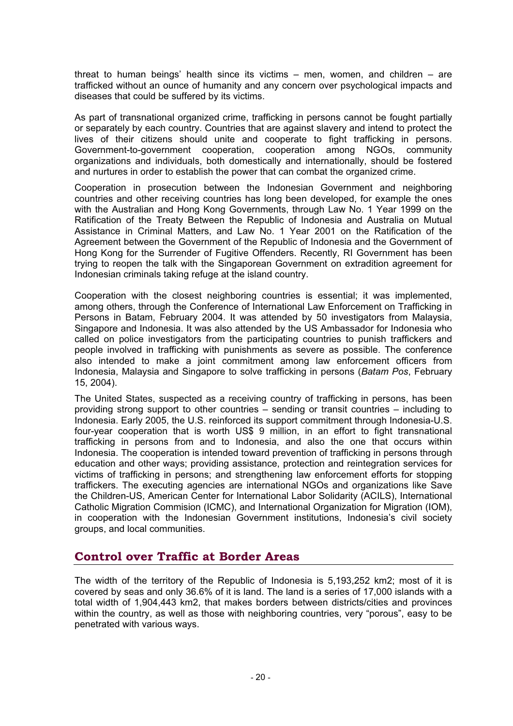threat to human beings' health since its victims – men, women, and children – are trafficked without an ounce of humanity and any concern over psychological impacts and diseases that could be suffered by its victims.

As part of transnational organized crime, trafficking in persons cannot be fought partially or separately by each country. Countries that are against slavery and intend to protect the lives of their citizens should unite and cooperate to fight trafficking in persons. Government-to-government cooperation, cooperation among NGOs, community organizations and individuals, both domestically and internationally, should be fostered and nurtures in order to establish the power that can combat the organized crime.

Cooperation in prosecution between the Indonesian Government and neighboring countries and other receiving countries has long been developed, for example the ones with the Australian and Hong Kong Governments, through Law No. 1 Year 1999 on the Ratification of the Treaty Between the Republic of Indonesia and Australia on Mutual Assistance in Criminal Matters, and Law No. 1 Year 2001 on the Ratification of the Agreement between the Government of the Republic of Indonesia and the Government of Hong Kong for the Surrender of Fugitive Offenders. Recently, RI Government has been trying to reopen the talk with the Singaporean Government on extradition agreement for Indonesian criminals taking refuge at the island country.

Cooperation with the closest neighboring countries is essential; it was implemented, among others, through the Conference of International Law Enforcement on Trafficking in Persons in Batam, February 2004. It was attended by 50 investigators from Malaysia, Singapore and Indonesia. It was also attended by the US Ambassador for Indonesia who called on police investigators from the participating countries to punish traffickers and people involved in trafficking with punishments as severe as possible. The conference also intended to make a joint commitment among law enforcement officers from Indonesia, Malaysia and Singapore to solve trafficking in persons (*Batam Pos*, February 15, 2004).

The United States, suspected as a receiving country of trafficking in persons, has been providing strong support to other countries – sending or transit countries – including to Indonesia. Early 2005, the U.S. reinforced its support commitment through Indonesia-U.S. four-year cooperation that is worth US\$ 9 million, in an effort to fight transnational trafficking in persons from and to Indonesia, and also the one that occurs within Indonesia. The cooperation is intended toward prevention of trafficking in persons through education and other ways; providing assistance, protection and reintegration services for victims of trafficking in persons; and strengthening law enforcement efforts for stopping traffickers. The executing agencies are international NGOs and organizations like Save the Children-US, American Center for International Labor Solidarity (ACILS), International Catholic Migration Commision (ICMC), and International Organization for Migration (IOM), in cooperation with the Indonesian Government institutions, Indonesia's civil society groups, and local communities.

#### **Control over Traffic at Border Areas**

The width of the territory of the Republic of Indonesia is 5,193,252 km2; most of it is covered by seas and only 36.6% of it is land. The land is a series of 17,000 islands with a total width of 1,904,443 km2, that makes borders between districts/cities and provinces within the country, as well as those with neighboring countries, very "porous", easy to be penetrated with various ways.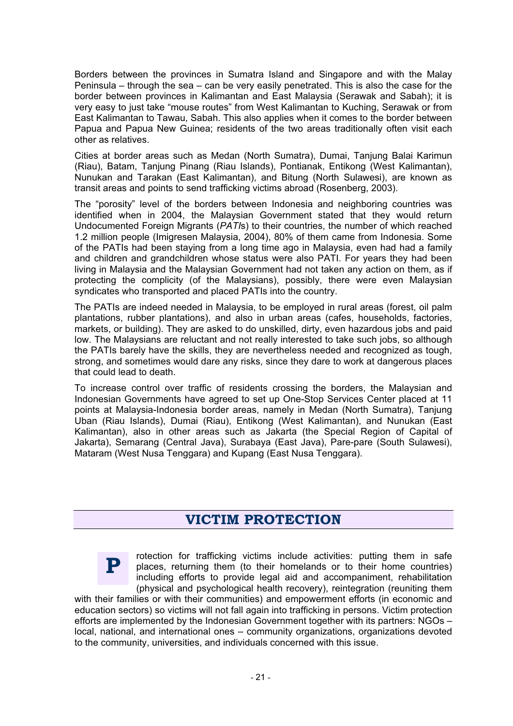Borders between the provinces in Sumatra Island and Singapore and with the Malay Peninsula – through the sea – can be very easily penetrated. This is also the case for the border between provinces in Kalimantan and East Malaysia (Serawak and Sabah); it is very easy to just take "mouse routes" from West Kalimantan to Kuching, Serawak or from East Kalimantan to Tawau, Sabah. This also applies when it comes to the border between Papua and Papua New Guinea; residents of the two areas traditionally often visit each other as relatives.

Cities at border areas such as Medan (North Sumatra), Dumai, Tanjung Balai Karimun (Riau), Batam, Tanjung Pinang (Riau Islands), Pontianak, Entikong (West Kalimantan), Nunukan and Tarakan (East Kalimantan), and Bitung (North Sulawesi), are known as transit areas and points to send trafficking victims abroad (Rosenberg, 2003).

The "porosity" level of the borders between Indonesia and neighboring countries was identified when in 2004, the Malaysian Government stated that they would return Undocumented Foreign Migrants (*PATI*s) to their countries, the number of which reached 1.2 million people (Imigresen Malaysia, 2004), 80% of them came from Indonesia. Some of the PATIs had been staying from a long time ago in Malaysia, even had had a family and children and grandchildren whose status were also PATI. For years they had been living in Malaysia and the Malaysian Government had not taken any action on them, as if protecting the complicity (of the Malaysians), possibly, there were even Malaysian syndicates who transported and placed PATIs into the country.

The PATIs are indeed needed in Malaysia, to be employed in rural areas (forest, oil palm plantations, rubber plantations), and also in urban areas (cafes, households, factories, markets, or building). They are asked to do unskilled, dirty, even hazardous jobs and paid low. The Malaysians are reluctant and not really interested to take such jobs, so although the PATIs barely have the skills, they are nevertheless needed and recognized as tough, strong, and sometimes would dare any risks, since they dare to work at dangerous places that could lead to death.

To increase control over traffic of residents crossing the borders, the Malaysian and Indonesian Governments have agreed to set up One-Stop Services Center placed at 11 points at Malaysia-Indonesia border areas, namely in Medan (North Sumatra), Tanjung Uban (Riau Islands), Dumai (Riau), Entikong (West Kalimantan), and Nunukan (East Kalimantan), also in other areas such as Jakarta (the Special Region of Capital of Jakarta), Semarang (Central Java), Surabaya (East Java), Pare-pare (South Sulawesi), Mataram (West Nusa Tenggara) and Kupang (East Nusa Tenggara).

#### **VICTIM PROTECTION**



rotection for trafficking victims include activities: putting them in safe places, returning them (to their homelands or to their home countries) including efforts to provide legal aid and accompaniment, rehabilitation (physical and psychological health recovery), reintegration (reuniting them

with their families or with their communities) and empowerment efforts (in economic and education sectors) so victims will not fall again into trafficking in persons. Victim protection efforts are implemented by the Indonesian Government together with its partners: NGOs – local, national, and international ones – community organizations, organizations devoted to the community, universities, and individuals concerned with this issue.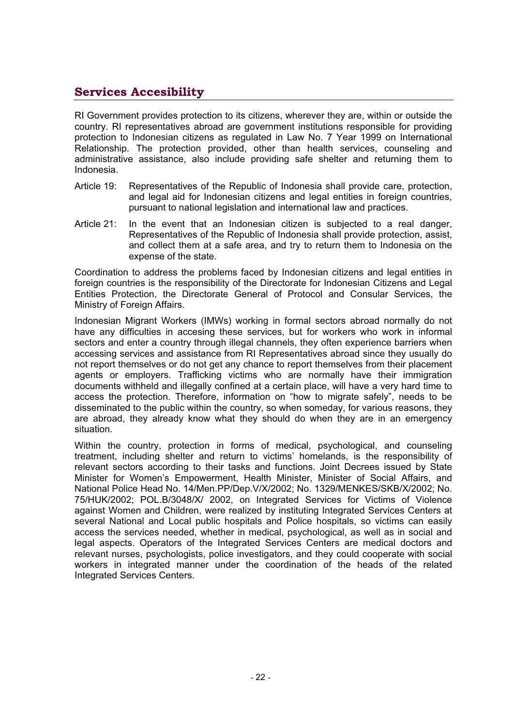#### **Services Accesibility**

RI Government provides protection to its citizens, wherever they are, within or outside the country. RI representatives abroad are government institutions responsible for providing protection to Indonesian citizens as regulated in Law No. 7 Year 1999 on International Relationship. The protection provided, other than health services, counseling and administrative assistance, also include providing safe shelter and returning them to Indonesia.

- Article 19: Representatives of the Republic of Indonesia shall provide care, protection, and legal aid for Indonesian citizens and legal entities in foreign countries, pursuant to national legislation and international law and practices.
- Article 21: In the event that an Indonesian citizen is subjected to a real danger, Representatives of the Republic of Indonesia shall provide protection, assist, and collect them at a safe area, and try to return them to Indonesia on the expense of the state.

Coordination to address the problems faced by Indonesian citizens and legal entities in foreign countries is the responsibility of the Directorate for Indonesian Citizens and Legal Entities Protection, the Directorate General of Protocol and Consular Services, the Ministry of Foreign Affairs.

Indonesian Migrant Workers (IMWs) working in formal sectors abroad normally do not have any difficulties in accesing these services, but for workers who work in informal sectors and enter a country through illegal channels, they often experience barriers when accessing services and assistance from RI Representatives abroad since they usually do not report themselves or do not get any chance to report themselves from their placement agents or employers. Trafficking victims who are normally have their immigration documents withheld and illegally confined at a certain place, will have a very hard time to access the protection. Therefore, information on "how to migrate safely", needs to be disseminated to the public within the country, so when someday, for various reasons, they are abroad, they already know what they should do when they are in an emergency situation.

Within the country, protection in forms of medical, psychological, and counseling treatment, including shelter and return to victims' homelands, is the responsibility of relevant sectors according to their tasks and functions. Joint Decrees issued by State Minister for Women's Empowerment, Health Minister, Minister of Social Affairs, and National Police Head No. 14/Men.PP/Dep.V/X/2002; No. 1329/MENKES/SKB/X/2002; No. 75/HUK/2002; POL.B/3048/X/ 2002, on Integrated Services for Victims of Violence against Women and Children, were realized by instituting Integrated Services Centers at several National and Local public hospitals and Police hospitals, so victims can easily access the services needed, whether in medical, psychological, as well as in social and legal aspects. Operators of the Integrated Services Centers are medical doctors and relevant nurses, psychologists, police investigators, and they could cooperate with social workers in integrated manner under the coordination of the heads of the related Integrated Services Centers.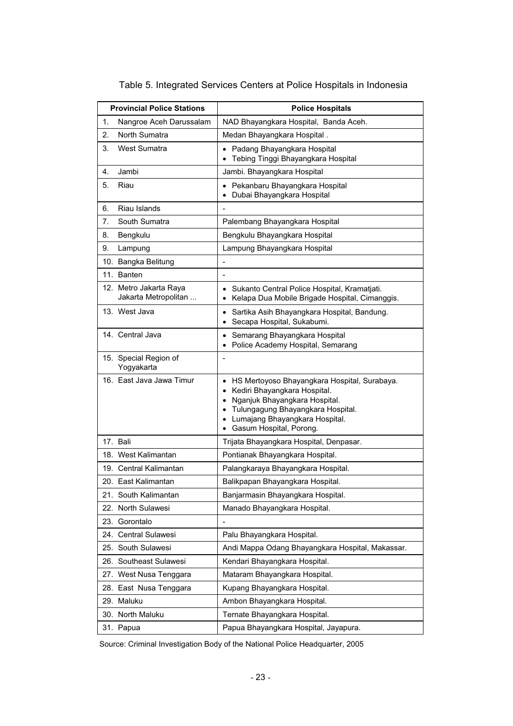|     | <b>Provincial Police Stations</b>              | <b>Police Hospitals</b>                                                                                                                                                                                                                                       |
|-----|------------------------------------------------|---------------------------------------------------------------------------------------------------------------------------------------------------------------------------------------------------------------------------------------------------------------|
| 1.  | Nangroe Aceh Darussalam                        | NAD Bhayangkara Hospital, Banda Aceh.                                                                                                                                                                                                                         |
| 2.  | North Sumatra                                  | Medan Bhayangkara Hospital.                                                                                                                                                                                                                                   |
| 3.  | West Sumatra                                   | Padang Bhayangkara Hospital<br>Tebing Tinggi Bhayangkara Hospital                                                                                                                                                                                             |
| 4.  | Jambi                                          | Jambi. Bhayangkara Hospital                                                                                                                                                                                                                                   |
| 5.  | Riau                                           | Pekanbaru Bhayangkara Hospital<br>$\bullet$<br>Dubai Bhayangkara Hospital                                                                                                                                                                                     |
| 6.  | Riau Islands                                   |                                                                                                                                                                                                                                                               |
| 7.  | South Sumatra                                  | Palembang Bhayangkara Hospital                                                                                                                                                                                                                                |
| 8.  | Bengkulu                                       | Bengkulu Bhayangkara Hospital                                                                                                                                                                                                                                 |
| 9.  | Lampung                                        | Lampung Bhayangkara Hospital                                                                                                                                                                                                                                  |
|     | 10. Bangka Belitung                            | ÷                                                                                                                                                                                                                                                             |
|     | 11. Banten                                     | $\blacksquare$                                                                                                                                                                                                                                                |
|     | 12. Metro Jakarta Raya<br>Jakarta Metropolitan | Sukanto Central Police Hospital, Kramatjati.<br>$\bullet$<br>Kelapa Dua Mobile Brigade Hospital, Cimanggis.<br>٠                                                                                                                                              |
|     | 13. West Java                                  | Sartika Asih Bhayangkara Hospital, Bandung.<br>٠<br>Secapa Hospital, Sukabumi.                                                                                                                                                                                |
|     | 14. Central Java                               | Semarang Bhayangkara Hospital<br>$\bullet$<br>• Police Academy Hospital, Semarang                                                                                                                                                                             |
|     | 15. Special Region of<br>Yogyakarta            |                                                                                                                                                                                                                                                               |
|     | 16. East Java Jawa Timur                       | HS Mertoyoso Bhayangkara Hospital, Surabaya.<br>٠<br>Kediri Bhayangkara Hospital.<br>Nganjuk Bhayangkara Hospital.<br>$\bullet$<br>Tulungagung Bhayangkara Hospital.<br>$\bullet$<br>Lumajang Bhayangkara Hospital.<br>$\bullet$<br>• Gasum Hospital, Porong. |
|     | 17. Bali                                       | Trijata Bhayangkara Hospital, Denpasar.                                                                                                                                                                                                                       |
|     | 18. West Kalimantan                            | Pontianak Bhayangkara Hospital.                                                                                                                                                                                                                               |
|     | 19. Central Kalimantan                         | Palangkaraya Bhayangkara Hospital.                                                                                                                                                                                                                            |
|     | 20. East Kalimantan                            | Balikpapan Bhayangkara Hospital.                                                                                                                                                                                                                              |
|     | 21. South Kalimantan                           | Banjarmasin Bhayangkara Hospital.                                                                                                                                                                                                                             |
|     | 22. North Sulawesi                             | Manado Bhayangkara Hospital.                                                                                                                                                                                                                                  |
|     | 23. Gorontalo                                  | $\overline{a}$                                                                                                                                                                                                                                                |
|     | 24. Central Sulawesi                           | Palu Bhayangkara Hospital.                                                                                                                                                                                                                                    |
| 25. | South Sulawesi                                 | Andi Mappa Odang Bhayangkara Hospital, Makassar.                                                                                                                                                                                                              |
|     | 26. Southeast Sulawesi                         | Kendari Bhayangkara Hospital.                                                                                                                                                                                                                                 |
|     | 27. West Nusa Tenggara                         | Mataram Bhayangkara Hospital.                                                                                                                                                                                                                                 |
|     | 28. East Nusa Tenggara                         | Kupang Bhayangkara Hospital.                                                                                                                                                                                                                                  |
|     | 29. Maluku                                     | Ambon Bhayangkara Hospital.                                                                                                                                                                                                                                   |
| 30. | North Maluku                                   | Ternate Bhayangkara Hospital.                                                                                                                                                                                                                                 |
|     | 31. Papua                                      | Papua Bhayangkara Hospital, Jayapura.                                                                                                                                                                                                                         |

#### Table 5. Integrated Services Centers at Police Hospitals in Indonesia

Source: Criminal Investigation Body of the National Police Headquarter, 2005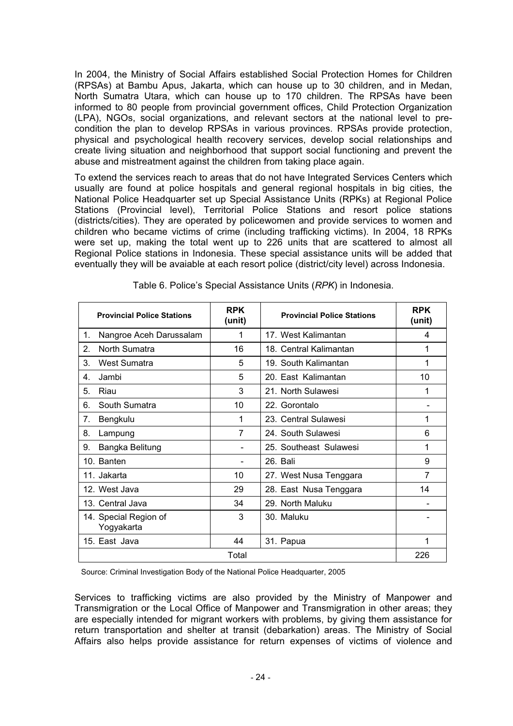In 2004, the Ministry of Social Affairs established Social Protection Homes for Children (RPSAs) at Bambu Apus, Jakarta, which can house up to 30 children, and in Medan, North Sumatra Utara, which can house up to 170 children. The RPSAs have been informed to 80 people from provincial government offices, Child Protection Organization (LPA), NGOs, social organizations, and relevant sectors at the national level to precondition the plan to develop RPSAs in various provinces. RPSAs provide protection, physical and psychological health recovery services, develop social relationships and create living situation and neighborhood that support social functioning and prevent the abuse and mistreatment against the children from taking place again.

To extend the services reach to areas that do not have Integrated Services Centers which usually are found at police hospitals and general regional hospitals in big cities, the National Police Headquarter set up Special Assistance Units (RPKs) at Regional Police Stations (Provincial level), Territorial Police Stations and resort police stations (districts/cities). They are operated by policewomen and provide services to women and children who became victims of crime (including trafficking victims). In 2004, 18 RPKs were set up, making the total went up to 226 units that are scattered to almost all Regional Police stations in Indonesia. These special assistance units will be added that eventually they will be avaiable at each resort police (district/city level) across Indonesia.

| <b>Provincial Police Stations</b>   | <b>RPK</b><br>(unit) | <b>Provincial Police Stations</b> | <b>RPK</b><br>(unit) |
|-------------------------------------|----------------------|-----------------------------------|----------------------|
| Nangroe Aceh Darussalam<br>1.       | 1                    | 17. West Kalimantan               | 4                    |
| 2.<br>North Sumatra                 | 16                   | 18. Central Kalimantan            | 1                    |
| 3.<br>West Sumatra                  | 5                    | 19. South Kalimantan              | 1                    |
| Jambi<br>4.                         | 5                    | 20. East Kalimantan               | 10                   |
| 5.<br>Riau                          | 3                    | 21. North Sulawesi                | 1                    |
| South Sumatra<br>6.                 | 10                   | 22. Gorontalo                     |                      |
| 7.<br>Bengkulu                      | 1                    | 23. Central Sulawesi              | 1                    |
| 8.<br>Lampung                       | 7                    | 24. South Sulawesi                | 6                    |
| Bangka Belitung<br>9.               |                      | 25. Southeast Sulawesi            | 1                    |
| 10. Banten                          |                      | 26. Bali                          | 9                    |
| 11. Jakarta                         | 10                   | 27. West Nusa Tenggara            | 7                    |
| 12. West Java                       | 29                   | 28. East Nusa Tenggara            | 14                   |
| 13. Central Java                    | 34                   | 29. North Maluku                  |                      |
| 14. Special Region of<br>Yogyakarta | 3                    | 30. Maluku                        |                      |
| 15. East Java                       | 44                   | 31. Papua                         | 1                    |
|                                     | Total                |                                   | 226                  |

Table 6. Police's Special Assistance Units (*RPK*) in Indonesia.

Source: Criminal Investigation Body of the National Police Headquarter, 2005

Services to trafficking victims are also provided by the Ministry of Manpower and Transmigration or the Local Office of Manpower and Transmigration in other areas; they are especially intended for migrant workers with problems, by giving them assistance for return transportation and shelter at transit (debarkation) areas. The Ministry of Social Affairs also helps provide assistance for return expenses of victims of violence and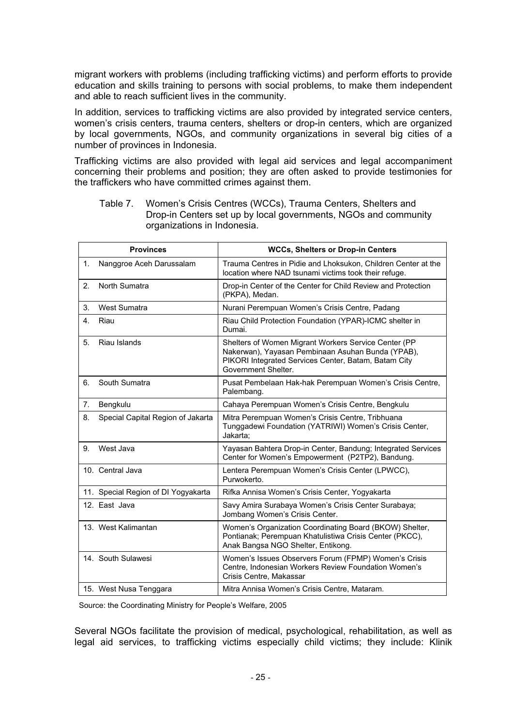migrant workers with problems (including trafficking victims) and perform efforts to provide education and skills training to persons with social problems, to make them independent and able to reach sufficient lives in the community.

In addition, services to trafficking victims are also provided by integrated service centers, women's crisis centers, trauma centers, shelters or drop-in centers, which are organized by local governments, NGOs, and community organizations in several big cities of a number of provinces in Indonesia.

Trafficking victims are also provided with legal aid services and legal accompaniment concerning their problems and position; they are often asked to provide testimonies for the traffickers who have committed crimes against them.

|    | <b>Provinces</b>                    | <b>WCCs, Shelters or Drop-in Centers</b>                                                                                                                                                 |
|----|-------------------------------------|------------------------------------------------------------------------------------------------------------------------------------------------------------------------------------------|
| 1. | Nanggroe Aceh Darussalam            | Trauma Centres in Pidie and Lhoksukon, Children Center at the<br>location where NAD tsunami victims took their refuge.                                                                   |
| 2. | North Sumatra                       | Drop-in Center of the Center for Child Review and Protection<br>(PKPA), Medan.                                                                                                           |
| 3. | <b>West Sumatra</b>                 | Nurani Perempuan Women's Crisis Centre, Padang                                                                                                                                           |
| 4. | Riau                                | Riau Child Protection Foundation (YPAR)-ICMC shelter in<br>Dumai.                                                                                                                        |
| 5. | Riau Islands                        | Shelters of Women Migrant Workers Service Center (PP<br>Nakerwan), Yayasan Pembinaan Asuhan Bunda (YPAB),<br>PIKORI Integrated Services Center, Batam, Batam City<br>Government Shelter. |
| 6. | South Sumatra                       | Pusat Pembelaan Hak-hak Perempuan Women's Crisis Centre,<br>Palembang.                                                                                                                   |
| 7. | Bengkulu                            | Cahaya Perempuan Women's Crisis Centre, Bengkulu                                                                                                                                         |
| 8. | Special Capital Region of Jakarta   | Mitra Perempuan Women's Crisis Centre, Tribhuana<br>Tunggadewi Foundation (YATRIWI) Women's Crisis Center,<br>Jakarta:                                                                   |
| 9. | West Java                           | Yayasan Bahtera Drop-in Center, Bandung; Integrated Services<br>Center for Women's Empowerment (P2TP2), Bandung.                                                                         |
|    | 10. Central Java                    | Lentera Perempuan Women's Crisis Center (LPWCC),<br>Purwokerto.                                                                                                                          |
|    | 11. Special Region of DI Yogyakarta | Rifka Annisa Women's Crisis Center, Yogyakarta                                                                                                                                           |
|    | 12. East Java                       | Savy Amira Surabaya Women's Crisis Center Surabaya;<br>Jombang Women's Crisis Center.                                                                                                    |
|    | 13. West Kalimantan                 | Women's Organization Coordinating Board (BKOW) Shelter,<br>Pontianak; Perempuan Khatulistiwa Crisis Center (PKCC),<br>Anak Bangsa NGO Shelter, Entikong.                                 |
|    | 14. South Sulawesi                  | Women's Issues Observers Forum (FPMP) Women's Crisis<br>Centre, Indonesian Workers Review Foundation Women's<br>Crisis Centre, Makassar                                                  |
|    | 15. West Nusa Tenggara              | Mitra Annisa Women's Crisis Centre, Mataram.                                                                                                                                             |

Table 7. Women's Crisis Centres (WCCs), Trauma Centers, Shelters and Drop-in Centers set up by local governments, NGOs and community organizations in Indonesia.

Source: the Coordinating Ministry for People's Welfare, 2005

Several NGOs facilitate the provision of medical, psychological, rehabilitation, as well as legal aid services, to trafficking victims especially child victims; they include: Klinik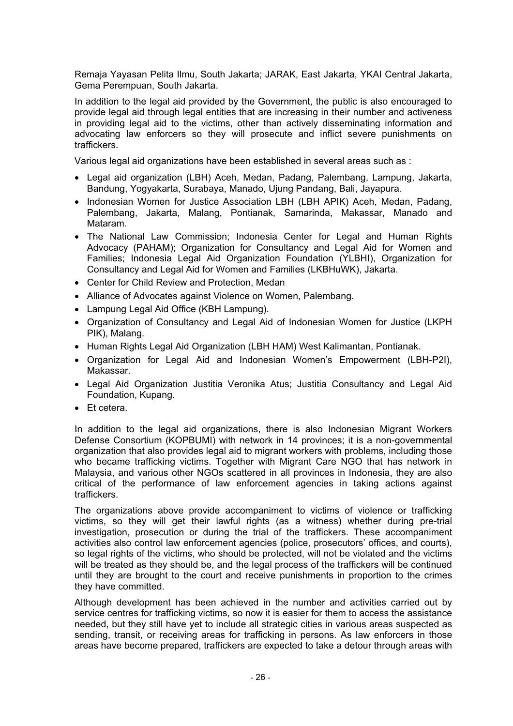Remaja Yayasan Pelita Ilmu, South Jakarta; JARAK, East Jakarta, YKAI Central Jakarta, Gema Perempuan, South Jakarta.

In addition to the legal aid provided by the Government, the public is also encouraged to provide legal aid through legal entities that are increasing in their number and activeness in providing legal aid to the victims, other than actively disseminating information and advocating law enforcers so they will prosecute and inflict severe punishments on traffickers.

Various legal aid organizations have been established in several areas such as :

- Legal aid organization (LBH) Aceh, Medan, Padang, Palembang, Lampung, Jakarta, Bandung, Yogyakarta, Surabaya, Manado, Ujung Pandang, Bali, Jayapura.
- Indonesian Women for Justice Association LBH (LBH APIK) Aceh, Medan, Padang, Palembang, Jakarta, Malang, Pontianak, Samarinda, Makassar, Manado and Mataram.
- The National Law Commission; Indonesia Center for Legal and Human Rights Advocacy (PAHAM); Organization for Consultancy and Legal Aid for Women and Families; Indonesia Legal Aid Organization Foundation (YLBHI), Organization for Consultancy and Legal Aid for Women and Families (LKBHuWK), Jakarta.
- Center for Child Review and Protection, Medan
- Alliance of Advocates against Violence on Women, Palembang.
- Lampung Legal Aid Office (KBH Lampung).
- Organization of Consultancy and Legal Aid of Indonesian Women for Justice (LKPH) PIK), Malang.
- x Human Rights Legal Aid Organization (LBH HAM) West Kalimantan, Pontianak.
- x Organization for Legal Aid and Indonesian Women's Empowerment (LBH-P2I), Makassar.
- Legal Aid Organization Justitia Veronika Atus; Justitia Consultancy and Legal Aid Foundation, Kupang.
- Et cetera.

In addition to the legal aid organizations, there is also Indonesian Migrant Workers Defense Consortium (KOPBUMI) with network in 14 provinces; it is a non-governmental organization that also provides legal aid to migrant workers with problems, including those who became trafficking victims. Together with Migrant Care NGO that has network in Malaysia, and various other NGOs scattered in all provinces in Indonesia, they are also critical of the performance of law enforcement agencies in taking actions against traffickers.

The organizations above provide accompaniment to victims of violence or trafficking victims, so they will get their lawful rights (as a witness) whether during pre-trial investigation, prosecution or during the trial of the traffickers. These accompaniment activities also control law enforcement agencies (police, prosecutors' offices, and courts), so legal rights of the victims, who should be protected, will not be violated and the victims will be treated as they should be, and the legal process of the traffickers will be continued until they are brought to the court and receive punishments in proportion to the crimes they have committed.

Although development has been achieved in the number and activities carried out by service centres for trafficking victims, so now it is easier for them to access the assistance needed, but they still have yet to include all strategic cities in various areas suspected as sending, transit, or receiving areas for trafficking in persons. As law enforcers in those areas have become prepared, traffickers are expected to take a detour through areas with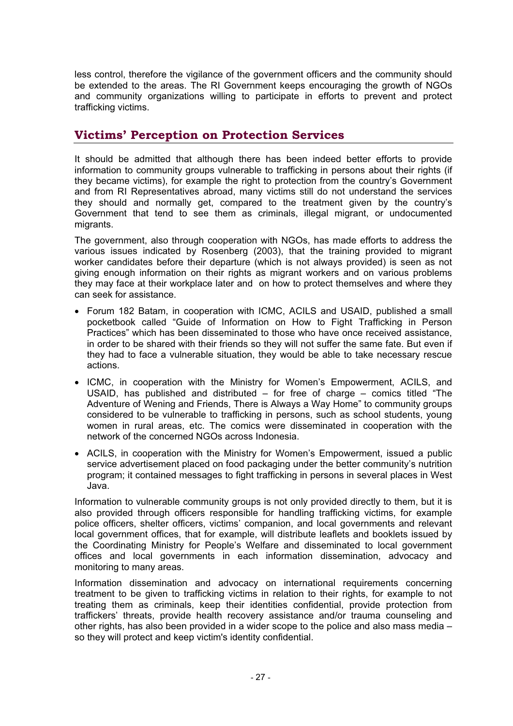less control, therefore the vigilance of the government officers and the community should be extended to the areas. The RI Government keeps encouraging the growth of NGOs and community organizations willing to participate in efforts to prevent and protect trafficking victims.

#### **Victims' Perception on Protection Services**

It should be admitted that although there has been indeed better efforts to provide information to community groups vulnerable to trafficking in persons about their rights (if they became victims), for example the right to protection from the country's Government and from RI Representatives abroad, many victims still do not understand the services they should and normally get, compared to the treatment given by the country's Government that tend to see them as criminals, illegal migrant, or undocumented migrants.

The government, also through cooperation with NGOs, has made efforts to address the various issues indicated by Rosenberg (2003), that the training provided to migrant worker candidates before their departure (which is not always provided) is seen as not giving enough information on their rights as migrant workers and on various problems they may face at their workplace later and on how to protect themselves and where they can seek for assistance.

- Forum 182 Batam, in cooperation with ICMC, ACILS and USAID, published a small pocketbook called "Guide of Information on How to Fight Trafficking in Person Practices" which has been disseminated to those who have once received assistance, in order to be shared with their friends so they will not suffer the same fate. But even if they had to face a vulnerable situation, they would be able to take necessary rescue actions.
- ICMC, in cooperation with the Ministry for Women's Empowerment, ACILS, and USAID, has published and distributed – for free of charge – comics titled "The Adventure of Wening and Friends, There is Always a Way Home" to community groups considered to be vulnerable to trafficking in persons, such as school students, young women in rural areas, etc. The comics were disseminated in cooperation with the network of the concerned NGOs across Indonesia.
- ACILS, in cooperation with the Ministry for Women's Empowerment, issued a public service advertisement placed on food packaging under the better community's nutrition program; it contained messages to fight trafficking in persons in several places in West Java.

Information to vulnerable community groups is not only provided directly to them, but it is also provided through officers responsible for handling trafficking victims, for example police officers, shelter officers, victims' companion, and local governments and relevant local government offices, that for example, will distribute leaflets and booklets issued by the Coordinating Ministry for People's Welfare and disseminated to local government offices and local governments in each information dissemination, advocacy and monitoring to many areas.

Information dissemination and advocacy on international requirements concerning treatment to be given to trafficking victims in relation to their rights, for example to not treating them as criminals, keep their identities confidential, provide protection from traffickers' threats, provide health recovery assistance and/or trauma counseling and other rights, has also been provided in a wider scope to the police and also mass media – so they will protect and keep victim's identity confidential.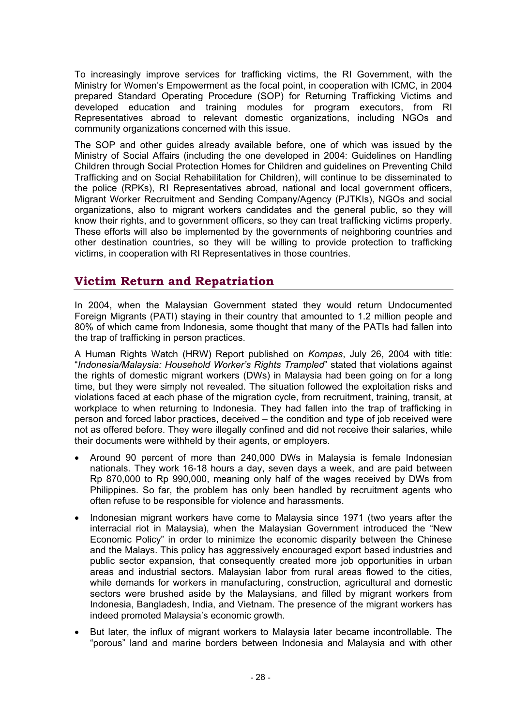To increasingly improve services for trafficking victims, the RI Government, with the Ministry for Women's Empowerment as the focal point, in cooperation with ICMC, in 2004 prepared Standard Operating Procedure (SOP) for Returning Trafficking Victims and developed education and training modules for program executors, from RI Representatives abroad to relevant domestic organizations, including NGOs and community organizations concerned with this issue.

The SOP and other guides already available before, one of which was issued by the Ministry of Social Affairs (including the one developed in 2004: Guidelines on Handling Children through Social Protection Homes for Children and guidelines on Preventing Child Trafficking and on Social Rehabilitation for Children), will continue to be disseminated to the police (RPKs), RI Representatives abroad, national and local government officers, Migrant Worker Recruitment and Sending Company/Agency (PJTKIs), NGOs and social organizations, also to migrant workers candidates and the general public, so they will know their rights, and to government officers, so they can treat trafficking victims properly. These efforts will also be implemented by the governments of neighboring countries and other destination countries, so they will be willing to provide protection to trafficking victims, in cooperation with RI Representatives in those countries.

#### **Victim Return and Repatriation**

In 2004, when the Malaysian Government stated they would return Undocumented Foreign Migrants (PATI) staying in their country that amounted to 1.2 million people and 80% of which came from Indonesia, some thought that many of the PATIs had fallen into the trap of trafficking in person practices.

A Human Rights Watch (HRW) Report published on *Kompas*, July 26, 2004 with title: "*Indonesia/Malaysia: Household Worker's Rights Trampled*" stated that violations against the rights of domestic migrant workers (DWs) in Malaysia had been going on for a long time, but they were simply not revealed. The situation followed the exploitation risks and violations faced at each phase of the migration cycle, from recruitment, training, transit, at workplace to when returning to Indonesia. They had fallen into the trap of trafficking in person and forced labor practices, deceived – the condition and type of job received were not as offered before. They were illegally confined and did not receive their salaries, while their documents were withheld by their agents, or employers.

- Around 90 percent of more than 240,000 DWs in Malaysia is female Indonesian nationals. They work 16-18 hours a day, seven days a week, and are paid between Rp 870,000 to Rp 990,000, meaning only half of the wages received by DWs from Philippines. So far, the problem has only been handled by recruitment agents who often refuse to be responsible for violence and harassments.
- Indonesian migrant workers have come to Malaysia since 1971 (two years after the interracial riot in Malaysia), when the Malaysian Government introduced the "New Economic Policy" in order to minimize the economic disparity between the Chinese and the Malays. This policy has aggressively encouraged export based industries and public sector expansion, that consequently created more job opportunities in urban areas and industrial sectors. Malaysian labor from rural areas flowed to the cities, while demands for workers in manufacturing, construction, agricultural and domestic sectors were brushed aside by the Malaysians, and filled by migrant workers from Indonesia, Bangladesh, India, and Vietnam. The presence of the migrant workers has indeed promoted Malaysia's economic growth.
- But later, the influx of migrant workers to Malaysia later became incontrollable. The "porous" land and marine borders between Indonesia and Malaysia and with other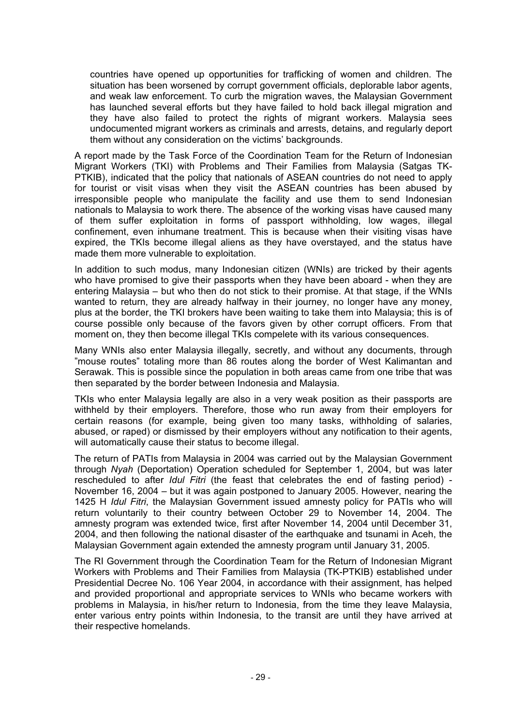countries have opened up opportunities for trafficking of women and children. The situation has been worsened by corrupt government officials, deplorable labor agents, and weak law enforcement. To curb the migration waves, the Malaysian Government has launched several efforts but they have failed to hold back illegal migration and they have also failed to protect the rights of migrant workers. Malaysia sees undocumented migrant workers as criminals and arrests, detains, and regularly deport them without any consideration on the victims' backgrounds.

A report made by the Task Force of the Coordination Team for the Return of Indonesian Migrant Workers (TKI) with Problems and Their Families from Malaysia (Satgas TK-PTKIB), indicated that the policy that nationals of ASEAN countries do not need to apply for tourist or visit visas when they visit the ASEAN countries has been abused by irresponsible people who manipulate the facility and use them to send Indonesian nationals to Malaysia to work there. The absence of the working visas have caused many of them suffer exploitation in forms of passport withholding, low wages, illegal confinement, even inhumane treatment. This is because when their visiting visas have expired, the TKIs become illegal aliens as they have overstayed, and the status have made them more vulnerable to exploitation.

In addition to such modus, many Indonesian citizen (WNIs) are tricked by their agents who have promised to give their passports when they have been aboard - when they are entering Malaysia – but who then do not stick to their promise. At that stage, if the WNIs wanted to return, they are already halfway in their journey, no longer have any money, plus at the border, the TKI brokers have been waiting to take them into Malaysia; this is of course possible only because of the favors given by other corrupt officers. From that moment on, they then become illegal TKIs compelete with its various consequences.

Many WNIs also enter Malaysia illegally, secretly, and without any documents, through "mouse routes" totaling more than 86 routes along the border of West Kalimantan and Serawak. This is possible since the population in both areas came from one tribe that was then separated by the border between Indonesia and Malaysia.

TKIs who enter Malaysia legally are also in a very weak position as their passports are withheld by their employers. Therefore, those who run away from their employers for certain reasons (for example, being given too many tasks, withholding of salaries, abused, or raped) or dismissed by their employers without any notification to their agents, will automatically cause their status to become illegal.

The return of PATIs from Malaysia in 2004 was carried out by the Malaysian Government through *Nyah* (Deportation) Operation scheduled for September 1, 2004, but was later rescheduled to after *Idul Fitri* (the feast that celebrates the end of fasting period) - November 16, 2004 – but it was again postponed to January 2005. However, nearing the 1425 H *Idul Fitri*, the Malaysian Government issued amnesty policy for PATIs who will return voluntarily to their country between October 29 to November 14, 2004. The amnesty program was extended twice, first after November 14, 2004 until December 31, 2004, and then following the national disaster of the earthquake and tsunami in Aceh, the Malaysian Government again extended the amnesty program until January 31, 2005.

The RI Government through the Coordination Team for the Return of Indonesian Migrant Workers with Problems and Their Families from Malaysia (TK-PTKIB) established under Presidential Decree No. 106 Year 2004, in accordance with their assignment, has helped and provided proportional and appropriate services to WNIs who became workers with problems in Malaysia, in his/her return to Indonesia, from the time they leave Malaysia, enter various entry points within Indonesia, to the transit are until they have arrived at their respective homelands.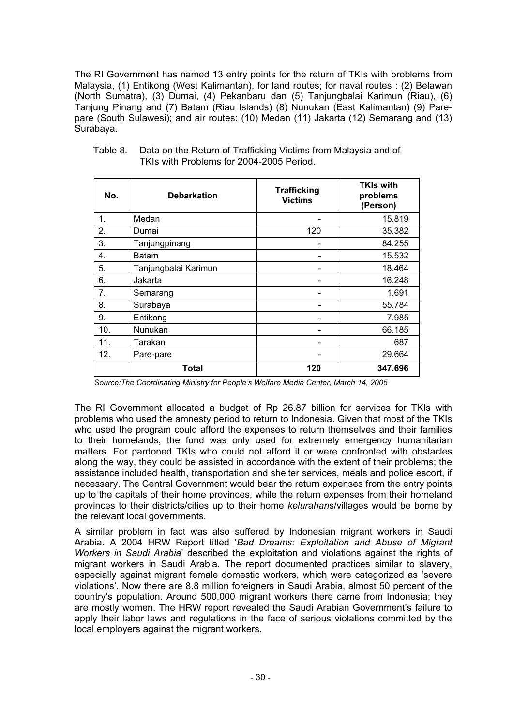The RI Government has named 13 entry points for the return of TKIs with problems from Malaysia, (1) Entikong (West Kalimantan), for land routes; for naval routes : (2) Belawan (North Sumatra), (3) Dumai, (4) Pekanbaru dan (5) Tanjungbalai Karimun (Riau), (6) Tanjung Pinang and (7) Batam (Riau Islands) (8) Nunukan (East Kalimantan) (9) Parepare (South Sulawesi); and air routes: (10) Medan (11) Jakarta (12) Semarang and (13) Surabaya.

| No. | <b>Debarkation</b>   | <b>Trafficking</b><br><b>Victims</b> | <b>TKIs with</b><br>problems<br>(Person) |
|-----|----------------------|--------------------------------------|------------------------------------------|
| 1.  | Medan                |                                      | 15.819                                   |
| 2.  | Dumai                | 120                                  | 35.382                                   |
| 3.  | Tanjungpinang        |                                      | 84.255                                   |
| 4.  | Batam                |                                      | 15.532                                   |
| 5.  | Tanjungbalai Karimun |                                      | 18.464                                   |
| 6.  | Jakarta              |                                      | 16.248                                   |
| 7.  | Semarang             |                                      | 1.691                                    |
| 8.  | Surabaya             |                                      | 55.784                                   |
| 9.  | Entikong             |                                      | 7.985                                    |
| 10. | Nunukan              |                                      | 66.185                                   |
| 11. | Tarakan              |                                      | 687                                      |
| 12. | Pare-pare            |                                      | 29.664                                   |
|     | Total                | 120                                  | 347.696                                  |

Table 8. Data on the Return of Trafficking Victims from Malaysia and of TKIs with Problems for 2004-2005 Period.

 *Source:The Coordinating Ministry for People's Welfare Media Center, March 14, 2005* 

The RI Government allocated a budget of Rp 26.87 billion for services for TKIs with problems who used the amnesty period to return to Indonesia. Given that most of the TKIs who used the program could afford the expenses to return themselves and their families to their homelands, the fund was only used for extremely emergency humanitarian matters. For pardoned TKIs who could not afford it or were confronted with obstacles along the way, they could be assisted in accordance with the extent of their problems; the assistance included health, transportation and shelter services, meals and police escort, if necessary. The Central Government would bear the return expenses from the entry points up to the capitals of their home provinces, while the return expenses from their homeland provinces to their districts/cities up to their home *kelurahan*s/villages would be borne by the relevant local governments.

A similar problem in fact was also suffered by Indonesian migrant workers in Saudi Arabia. A 2004 HRW Report titled '*Bad Dreams: Exploitation and Abuse of Migrant Workers in Saudi Arabia*' described the exploitation and violations against the rights of migrant workers in Saudi Arabia. The report documented practices similar to slavery, especially against migrant female domestic workers, which were categorized as 'severe violations'. Now there are 8.8 million foreigners in Saudi Arabia, almost 50 percent of the country's population. Around 500,000 migrant workers there came from Indonesia; they are mostly women. The HRW report revealed the Saudi Arabian Government's failure to apply their labor laws and regulations in the face of serious violations committed by the local employers against the migrant workers.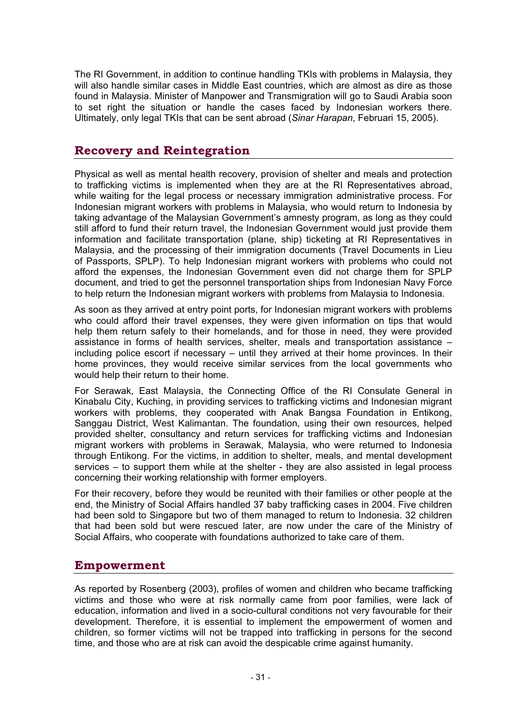The RI Government, in addition to continue handling TKIs with problems in Malaysia, they will also handle similar cases in Middle East countries, which are almost as dire as those found in Malaysia. Minister of Manpower and Transmigration will go to Saudi Arabia soon to set right the situation or handle the cases faced by Indonesian workers there. Ultimately, only legal TKIs that can be sent abroad (*Sinar Harapan*, Februari 15, 2005).

#### **Recovery and Reintegration**

Physical as well as mental health recovery, provision of shelter and meals and protection to trafficking victims is implemented when they are at the RI Representatives abroad, while waiting for the legal process or necessary immigration administrative process. For Indonesian migrant workers with problems in Malaysia, who would return to Indonesia by taking advantage of the Malaysian Government's amnesty program, as long as they could still afford to fund their return travel, the Indonesian Government would just provide them information and facilitate transportation (plane, ship) ticketing at RI Representatives in Malaysia, and the processing of their immigration documents (Travel Documents in Lieu of Passports, SPLP). To help Indonesian migrant workers with problems who could not afford the expenses, the Indonesian Government even did not charge them for SPLP document, and tried to get the personnel transportation ships from Indonesian Navy Force to help return the Indonesian migrant workers with problems from Malaysia to Indonesia.

As soon as they arrived at entry point ports, for Indonesian migrant workers with problems who could afford their travel expenses, they were given information on tips that would help them return safely to their homelands, and for those in need, they were provided assistance in forms of health services, shelter, meals and transportation assistance – including police escort if necessary – until they arrived at their home provinces. In their home provinces, they would receive similar services from the local governments who would help their return to their home.

For Serawak, East Malaysia, the Connecting Office of the RI Consulate General in Kinabalu City, Kuching, in providing services to trafficking victims and Indonesian migrant workers with problems, they cooperated with Anak Bangsa Foundation in Entikong, Sanggau District, West Kalimantan. The foundation, using their own resources, helped provided shelter, consultancy and return services for trafficking victims and Indonesian migrant workers with problems in Serawak, Malaysia, who were returned to Indonesia through Entikong. For the victims, in addition to shelter, meals, and mental development services – to support them while at the shelter - they are also assisted in legal process concerning their working relationship with former employers.

For their recovery, before they would be reunited with their families or other people at the end, the Ministry of Social Affairs handled 37 baby trafficking cases in 2004. Five children had been sold to Singapore but two of them managed to return to Indonesia. 32 children that had been sold but were rescued later, are now under the care of the Ministry of Social Affairs, who cooperate with foundations authorized to take care of them.

#### **Empowerment**

As reported by Rosenberg (2003), profiles of women and children who became trafficking victims and those who were at risk normally came from poor families, were lack of education, information and lived in a socio-cultural conditions not very favourable for their development. Therefore, it is essential to implement the empowerment of women and children, so former victims will not be trapped into trafficking in persons for the second time, and those who are at risk can avoid the despicable crime against humanity.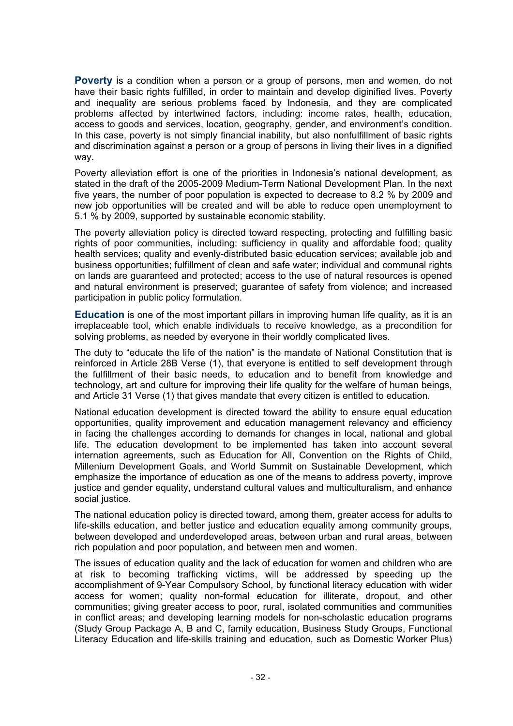**Poverty** is a condition when a person or a group of persons, men and women, do not have their basic rights fulfilled, in order to maintain and develop diginified lives. Poverty and inequality are serious problems faced by Indonesia, and they are complicated problems affected by intertwined factors, including: income rates, health, education, access to goods and services, location, geography, gender, and environment's condition. In this case, poverty is not simply financial inability, but also nonfulfillment of basic rights and discrimination against a person or a group of persons in living their lives in a dignified way.

Poverty alleviation effort is one of the priorities in Indonesia's national development, as stated in the draft of the 2005-2009 Medium-Term National Development Plan. In the next five years, the number of poor population is expected to decrease to 8.2 % by 2009 and new job opportunities will be created and will be able to reduce open unemployment to 5.1 % by 2009, supported by sustainable economic stability.

The poverty alleviation policy is directed toward respecting, protecting and fulfilling basic rights of poor communities, including: sufficiency in quality and affordable food; quality health services; quality and evenly-distributed basic education services; available job and business opportunities; fulfillment of clean and safe water; individual and communal rights on lands are guaranteed and protected; access to the use of natural resources is opened and natural environment is preserved; guarantee of safety from violence; and increased participation in public policy formulation.

**Education** is one of the most important pillars in improving human life quality, as it is an irreplaceable tool, which enable individuals to receive knowledge, as a precondition for solving problems, as needed by everyone in their worldly complicated lives.

The duty to "educate the life of the nation" is the mandate of National Constitution that is reinforced in Article 28B Verse (1), that everyone is entitled to self development through the fulfillment of their basic needs, to education and to benefit from knowledge and technology, art and culture for improving their life quality for the welfare of human beings, and Article 31 Verse (1) that gives mandate that every citizen is entitled to education.

National education development is directed toward the ability to ensure equal education opportunities, quality improvement and education management relevancy and efficiency in facing the challenges according to demands for changes in local, national and global life. The education development to be implemented has taken into account several internation agreements, such as Education for All, Convention on the Rights of Child, Millenium Development Goals, and World Summit on Sustainable Development, which emphasize the importance of education as one of the means to address poverty, improve justice and gender equality, understand cultural values and multiculturalism, and enhance social justice.

The national education policy is directed toward, among them, greater access for adults to life-skills education, and better justice and education equality among community groups, between developed and underdeveloped areas, between urban and rural areas, between rich population and poor population, and between men and women.

The issues of education quality and the lack of education for women and children who are at risk to becoming trafficking victims, will be addressed by speeding up the accomplishment of 9-Year Compulsory School, by functional literacy education with wider access for women; quality non-formal education for illiterate, dropout, and other communities; giving greater access to poor, rural, isolated communities and communities in conflict areas; and developing learning models for non-scholastic education programs (Study Group Package A, B and C, family education, Business Study Groups, Functional Literacy Education and life-skills training and education, such as Domestic Worker Plus)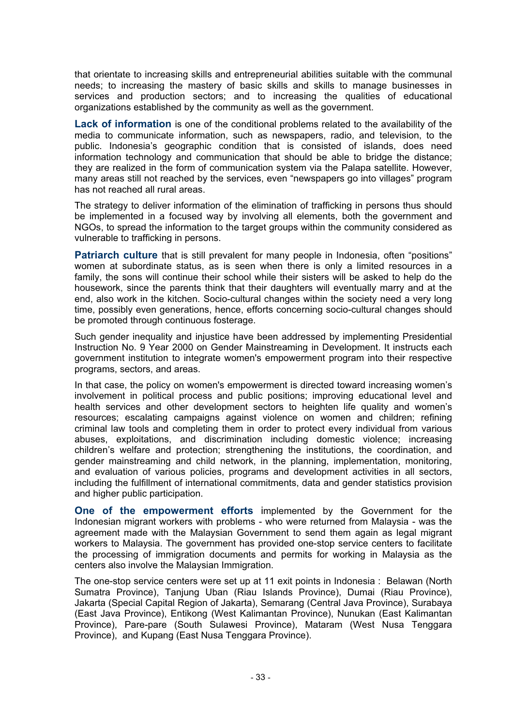that orientate to increasing skills and entrepreneurial abilities suitable with the communal needs; to increasing the mastery of basic skills and skills to manage businesses in services and production sectors; and to increasing the qualities of educational organizations established by the community as well as the government.

Lack of information is one of the conditional problems related to the availability of the media to communicate information, such as newspapers, radio, and television, to the public. Indonesia's geographic condition that is consisted of islands, does need information technology and communication that should be able to bridge the distance; they are realized in the form of communication system via the Palapa satellite. However, many areas still not reached by the services, even "newspapers go into villages" program has not reached all rural areas.

The strategy to deliver information of the elimination of trafficking in persons thus should be implemented in a focused way by involving all elements, both the government and NGOs, to spread the information to the target groups within the community considered as vulnerable to trafficking in persons.

**Patriarch culture** that is still prevalent for many people in Indonesia, often "positions" women at subordinate status, as is seen when there is only a limited resources in a family, the sons will continue their school while their sisters will be asked to help do the housework, since the parents think that their daughters will eventually marry and at the end, also work in the kitchen. Socio-cultural changes within the society need a very long time, possibly even generations, hence, efforts concerning socio-cultural changes should be promoted through continuous fosterage.

Such gender inequality and injustice have been addressed by implementing Presidential Instruction No. 9 Year 2000 on Gender Mainstreaming in Development. It instructs each government institution to integrate women's empowerment program into their respective programs, sectors, and areas.

In that case, the policy on women's empowerment is directed toward increasing women's involvement in political process and public positions; improving educational level and health services and other development sectors to heighten life quality and women's resources; escalating campaigns against violence on women and children; refining criminal law tools and completing them in order to protect every individual from various abuses, exploitations, and discrimination including domestic violence; increasing children's welfare and protection; strengthening the institutions, the coordination, and gender mainstreaming and child network, in the planning, implementation, monitoring, and evaluation of various policies, programs and development activities in all sectors, including the fulfillment of international commitments, data and gender statistics provision and higher public participation.

**One of the empowerment efforts** implemented by the Government for the Indonesian migrant workers with problems - who were returned from Malaysia - was the agreement made with the Malaysian Government to send them again as legal migrant workers to Malaysia. The government has provided one-stop service centers to facilitate the processing of immigration documents and permits for working in Malaysia as the centers also involve the Malaysian Immigration.

The one-stop service centers were set up at 11 exit points in Indonesia : Belawan (North Sumatra Province), Tanjung Uban (Riau Islands Province), Dumai (Riau Province), Jakarta (Special Capital Region of Jakarta), Semarang (Central Java Province), Surabaya (East Java Province), Entikong (West Kalimantan Province), Nunukan (East Kalimantan Province), Pare-pare (South Sulawesi Province), Mataram (West Nusa Tenggara Province), and Kupang (East Nusa Tenggara Province).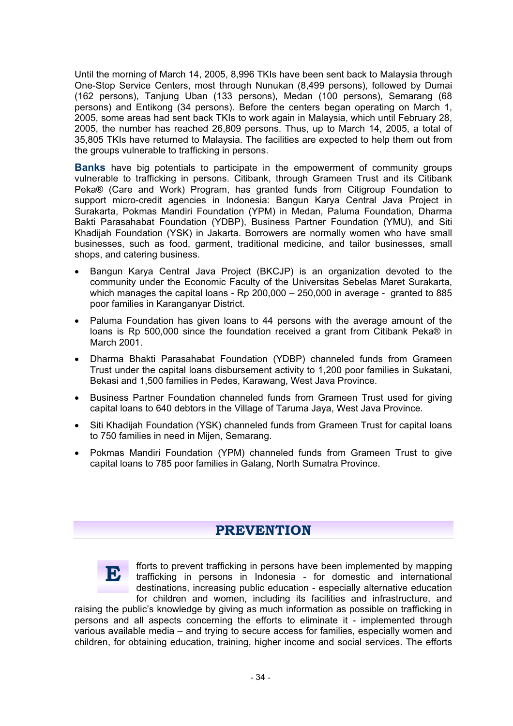Until the morning of March 14, 2005, 8,996 TKIs have been sent back to Malaysia through One-Stop Service Centers, most through Nunukan (8,499 persons), followed by Dumai (162 persons), Tanjung Uban (133 persons), Medan (100 persons), Semarang (68 persons) and Entikong (34 persons). Before the centers began operating on March 1, 2005, some areas had sent back TKIs to work again in Malaysia, which until February 28, 2005, the number has reached 26,809 persons. Thus, up to March 14, 2005, a total of 35,805 TKIs have returned to Malaysia. The facilities are expected to help them out from the groups vulnerable to trafficking in persons.

**Banks** have big potentials to participate in the empowerment of community groups vulnerable to trafficking in persons. Citibank, through Grameen Trust and its Citibank Peka® (Care and Work) Program, has granted funds from Citigroup Foundation to support micro-credit agencies in Indonesia: Bangun Karya Central Java Project in Surakarta, Pokmas Mandiri Foundation (YPM) in Medan, Paluma Foundation, Dharma Bakti Parasahabat Foundation (YDBP), Business Partner Foundation (YMU), and Siti Khadijah Foundation (YSK) in Jakarta. Borrowers are normally women who have small businesses, such as food, garment, traditional medicine, and tailor businesses, small shops, and catering business.

- x Bangun Karya Central Java Project (BKCJP) is an organization devoted to the community under the Economic Faculty of the Universitas Sebelas Maret Surakarta, which manages the capital loans - Rp 200,000 – 250,000 in average - granted to 885 poor families in Karanganyar District.
- Paluma Foundation has given loans to 44 persons with the average amount of the loans is Rp 500,000 since the foundation received a grant from Citibank Peka® in March 2001.
- x Dharma Bhakti Parasahabat Foundation (YDBP) channeled funds from Grameen Trust under the capital loans disbursement activity to 1,200 poor families in Sukatani, Bekasi and 1,500 families in Pedes, Karawang, West Java Province.
- Business Partner Foundation channeled funds from Grameen Trust used for giving capital loans to 640 debtors in the Village of Taruma Jaya, West Java Province.
- Siti Khadijah Foundation (YSK) channeled funds from Grameen Trust for capital loans to 750 families in need in Mijen, Semarang.
- Pokmas Mandiri Foundation (YPM) channeled funds from Grameen Trust to give capital loans to 785 poor families in Galang, North Sumatra Province.

#### **PREVENTION**



fforts to prevent trafficking in persons have been implemented by mapping trafficking in persons in Indonesia - for domestic and international destinations, increasing public education - especially alternative education for children and women, including its facilities and infrastructure, and

raising the public's knowledge by giving as much information as possible on trafficking in persons and all aspects concerning the efforts to eliminate it - implemented through various available media – and trying to secure access for families, especially women and children, for obtaining education, training, higher income and social services. The efforts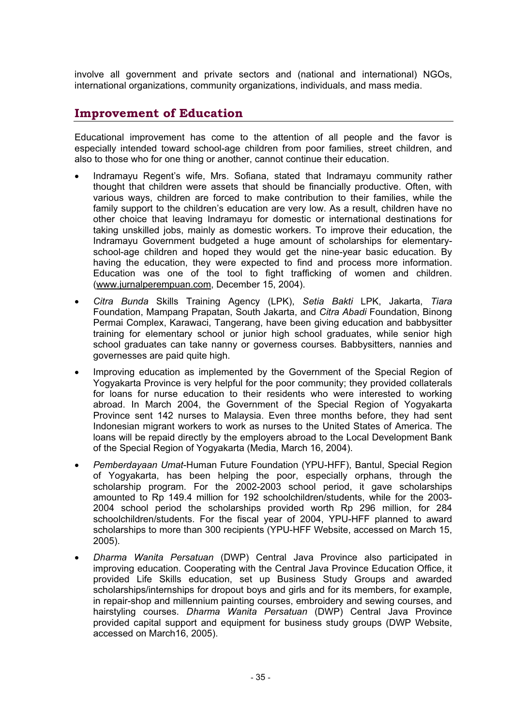involve all government and private sectors and (national and international) NGOs, international organizations, community organizations, individuals, and mass media.

#### **Improvement of Education**

Educational improvement has come to the attention of all people and the favor is especially intended toward school-age children from poor families, street children, and also to those who for one thing or another, cannot continue their education.

- x Indramayu Regent's wife, Mrs. Sofiana, stated that Indramayu community rather thought that children were assets that should be financially productive. Often, with various ways, children are forced to make contribution to their families, while the family support to the children's education are very low. As a result, children have no other choice that leaving Indramayu for domestic or international destinations for taking unskilled jobs, mainly as domestic workers. To improve their education, the Indramayu Government budgeted a huge amount of scholarships for elementaryschool-age children and hoped they would get the nine-year basic education. By having the education, they were expected to find and process more information. Education was one of the tool to fight trafficking of women and children. (www.jurnalperempuan.com, December 15, 2004).
- x *Citra Bunda* Skills Training Agency (LPK), *Setia Bakti* LPK, Jakarta, *Tiara* Foundation, Mampang Prapatan, South Jakarta, and *Citra Abadi* Foundation, Binong Permai Complex, Karawaci, Tangerang, have been giving education and babbysitter training for elementary school or junior high school graduates, while senior high school graduates can take nanny or governess courses*.* Babbysitters, nannies and governesses are paid quite high.
- Improving education as implemented by the Government of the Special Region of Yogyakarta Province is very helpful for the poor community; they provided collaterals for loans for nurse education to their residents who were interested to working abroad. In March 2004, the Government of the Special Region of Yogyakarta Province sent 142 nurses to Malaysia. Even three months before, they had sent Indonesian migrant workers to work as nurses to the United States of America. The loans will be repaid directly by the employers abroad to the Local Development Bank of the Special Region of Yogyakarta (Media, March 16, 2004).
- x *Pemberdayaan Umat*-Human Future Foundation (YPU-HFF), Bantul, Special Region of Yogyakarta, has been helping the poor, especially orphans, through the scholarship program. For the 2002-2003 school period, it gave scholarships amounted to Rp 149.4 million for 192 schoolchildren/students, while for the 2003- 2004 school period the scholarships provided worth Rp 296 million, for 284 schoolchildren/students. For the fiscal year of 2004, YPU-HFF planned to award scholarships to more than 300 recipients (YPU-HFF Website, accessed on March 15, 2005).
- x *Dharma Wanita Persatuan* (DWP) Central Java Province also participated in improving education. Cooperating with the Central Java Province Education Office, it provided Life Skills education, set up Business Study Groups and awarded scholarships/internships for dropout boys and girls and for its members, for example, in repair-shop and millennium painting courses, embroidery and sewing courses, and hairstyling courses. *Dharma Wanita Persatuan* (DWP) Central Java Province provided capital support and equipment for business study groups (DWP Website, accessed on March16, 2005).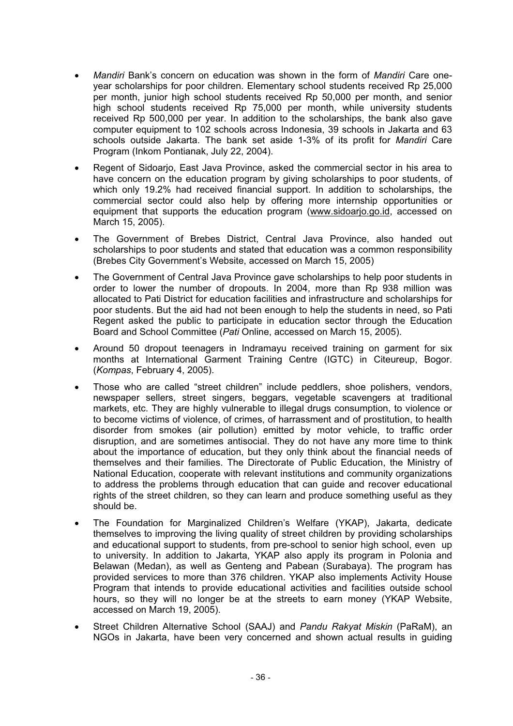- x *Mandiri* Bank's concern on education was shown in the form of *Mandiri* Care oneyear scholarships for poor children. Elementary school students received Rp 25,000 per month, junior high school students received Rp 50,000 per month, and senior high school students received Rp 75,000 per month, while university students received Rp 500,000 per year. In addition to the scholarships, the bank also gave computer equipment to 102 schools across Indonesia, 39 schools in Jakarta and 63 schools outside Jakarta. The bank set aside 1-3% of its profit for *Mandiri* Care Program (Inkom Pontianak, July 22, 2004).
- Regent of Sidoarjo, East Java Province, asked the commercial sector in his area to have concern on the education program by giving scholarships to poor students, of which only 19.2% had received financial support. In addition to scholarships, the commercial sector could also help by offering more internship opportunities or equipment that supports the education program (www.sidoarjo.go.id, accessed on March 15, 2005).
- The Government of Brebes District, Central Java Province, also handed out scholarships to poor students and stated that education was a common responsibility (Brebes City Government's Website, accessed on March 15, 2005)
- The Government of Central Java Province gave scholarships to help poor students in order to lower the number of dropouts. In 2004, more than Rp 938 million was allocated to Pati District for education facilities and infrastructure and scholarships for poor students. But the aid had not been enough to help the students in need, so Pati Regent asked the public to participate in education sector through the Education Board and School Committee (*Pati* Online, accessed on March 15, 2005).
- Around 50 dropout teenagers in Indramayu received training on garment for six months at International Garment Training Centre (IGTC) in Citeureup, Bogor. (*Kompas*, February 4, 2005).
- Those who are called "street children" include peddlers, shoe polishers, vendors, newspaper sellers, street singers, beggars, vegetable scavengers at traditional markets, etc. They are highly vulnerable to illegal drugs consumption, to violence or to become victims of violence, of crimes, of harrassment and of prostitution, to health disorder from smokes (air pollution) emitted by motor vehicle, to traffic order disruption, and are sometimes antisocial. They do not have any more time to think about the importance of education, but they only think about the financial needs of themselves and their families. The Directorate of Public Education, the Ministry of National Education, cooperate with relevant institutions and community organizations to address the problems through education that can guide and recover educational rights of the street children, so they can learn and produce something useful as they should be.
- The Foundation for Marginalized Children's Welfare (YKAP), Jakarta, dedicate themselves to improving the living quality of street children by providing scholarships and educational support to students, from pre-school to senior high school, even up to university. In addition to Jakarta, YKAP also apply its program in Polonia and Belawan (Medan), as well as Genteng and Pabean (Surabaya). The program has provided services to more than 376 children. YKAP also implements Activity House Program that intends to provide educational activities and facilities outside school hours, so they will no longer be at the streets to earn money (YKAP Website, accessed on March 19, 2005).
- x Street Children Alternative School (SAAJ) and *Pandu Rakyat Miskin* (PaRaM), an NGOs in Jakarta, have been very concerned and shown actual results in guiding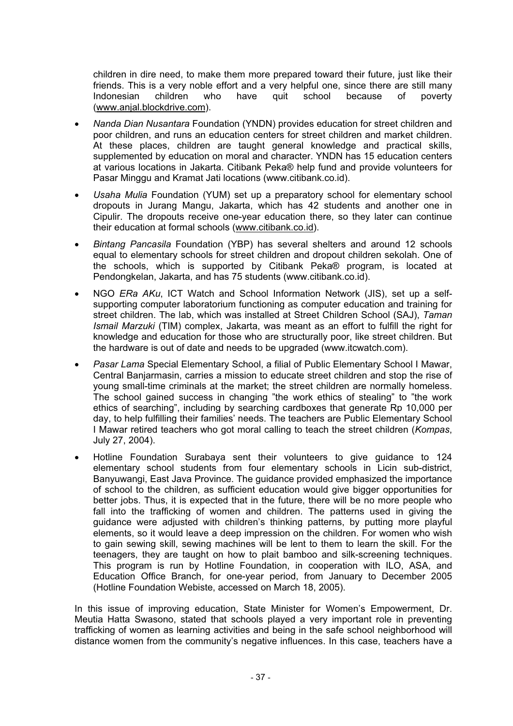children in dire need, to make them more prepared toward their future, just like their friends. This is a very noble effort and a very helpful one, since there are still many Indonesian children who have quit school because of poverty (www.anjal.blockdrive.com).

- x *Nanda Dian Nusantara* Foundation (YNDN) provides education for street children and poor children, and runs an education centers for street children and market children. At these places, children are taught general knowledge and practical skills, supplemented by education on moral and character. YNDN has 15 education centers at various locations in Jakarta. Citibank Peka® help fund and provide volunteers for Pasar Minggu and Kramat Jati locations (www.citibank.co.id).
- *Usaha Mulia* Foundation (YUM) set up a preparatory school for elementary school dropouts in Jurang Mangu, Jakarta, which has 42 students and another one in Cipulir. The dropouts receive one-year education there, so they later can continue their education at formal schools (www.citibank.co.id).
- x *Bintang Pancasila* Foundation (YBP) has several shelters and around 12 schools equal to elementary schools for street children and dropout children sekolah. One of the schools, which is supported by Citibank Peka® program, is located at Pendongkelan, Jakarta, and has 75 students (www.citibank.co.id).
- x NGO *ERa AKu*, ICT Watch and School Information Network (JIS), set up a selfsupporting computer laboratorium functioning as computer education and training for street children. The lab, which was installed at Street Children School (SAJ), *Taman Ismail Marzuki* (TIM) complex, Jakarta, was meant as an effort to fulfill the right for knowledge and education for those who are structurally poor, like street children. But the hardware is out of date and needs to be upgraded (www.itcwatch.com).
- x *Pasar Lama* Special Elementary School, a filial of Public Elementary School I Mawar, Central Banjarmasin, carries a mission to educate street children and stop the rise of young small-time criminals at the market; the street children are normally homeless. The school gained success in changing "the work ethics of stealing" to "the work ethics of searching", including by searching cardboxes that generate Rp 10,000 per day, to help fulfilling their families' needs. The teachers are Public Elementary School I Mawar retired teachers who got moral calling to teach the street children (*Kompas*, July 27, 2004).
- Hotline Foundation Surabaya sent their volunteers to give guidance to 124 elementary school students from four elementary schools in Licin sub-district, Banyuwangi, East Java Province. The guidance provided emphasized the importance of school to the children, as sufficient education would give bigger opportunities for better jobs. Thus, it is expected that in the future, there will be no more people who fall into the trafficking of women and children. The patterns used in giving the guidance were adjusted with children's thinking patterns, by putting more playful elements, so it would leave a deep impression on the children. For women who wish to gain sewing skill, sewing machines will be lent to them to learn the skill. For the teenagers, they are taught on how to plait bamboo and silk-screening techniques. This program is run by Hotline Foundation, in cooperation with ILO, ASA, and Education Office Branch, for one-year period, from January to December 2005 (Hotline Foundation Webiste, accessed on March 18, 2005).

In this issue of improving education, State Minister for Women's Empowerment, Dr. Meutia Hatta Swasono, stated that schools played a very important role in preventing trafficking of women as learning activities and being in the safe school neighborhood will distance women from the community's negative influences. In this case, teachers have a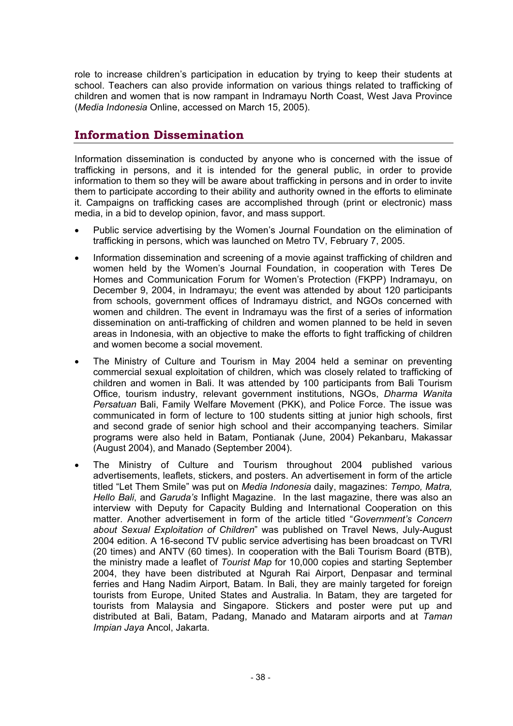role to increase children's participation in education by trying to keep their students at school. Teachers can also provide information on various things related to trafficking of children and women that is now rampant in Indramayu North Coast, West Java Province (*Media Indonesia* Online, accessed on March 15, 2005).

#### **Information Dissemination**

Information dissemination is conducted by anyone who is concerned with the issue of trafficking in persons, and it is intended for the general public, in order to provide information to them so they will be aware about trafficking in persons and in order to invite them to participate according to their ability and authority owned in the efforts to eliminate it. Campaigns on trafficking cases are accomplished through (print or electronic) mass media, in a bid to develop opinion, favor, and mass support.

- Public service advertising by the Women's Journal Foundation on the elimination of trafficking in persons, which was launched on Metro TV, February 7, 2005.
- Information dissemination and screening of a movie against trafficking of children and women held by the Women's Journal Foundation, in cooperation with Teres De Homes and Communication Forum for Women's Protection (FKPP) Indramayu, on December 9, 2004, in Indramayu; the event was attended by about 120 participants from schools, government offices of Indramayu district, and NGOs concerned with women and children. The event in Indramayu was the first of a series of information dissemination on anti-trafficking of children and women planned to be held in seven areas in Indonesia, with an objective to make the efforts to fight trafficking of children and women become a social movement.
- The Ministry of Culture and Tourism in May 2004 held a seminar on preventing commercial sexual exploitation of children, which was closely related to trafficking of children and women in Bali. It was attended by 100 participants from Bali Tourism Office, tourism industry, relevant government institutions, NGOs, *Dharma Wanita Persatuan* Bali, Family Welfare Movement (PKK), and Police Force. The issue was communicated in form of lecture to 100 students sitting at junior high schools, first and second grade of senior high school and their accompanying teachers. Similar programs were also held in Batam, Pontianak (June, 2004) Pekanbaru, Makassar (August 2004), and Manado (September 2004).
- The Ministry of Culture and Tourism throughout 2004 published various advertisements, leaflets, stickers, and posters. An advertisement in form of the article titled "Let Them Smile" was put on *Media Indonesia* daily, magazines: *Tempo, Matra, Hello Bali*, and *Garuda's* Inflight Magazine. In the last magazine, there was also an interview with Deputy for Capacity Bulding and International Cooperation on this matter. Another advertisement in form of the article titled "*Government's Concern about Sexual Exploitation of Children*" was published on Travel News, July-August 2004 edition. A 16-second TV public service advertising has been broadcast on TVRI (20 times) and ANTV (60 times). In cooperation with the Bali Tourism Board (BTB), the ministry made a leaflet of *Tourist Map* for 10,000 copies and starting September 2004, they have been distributed at Ngurah Rai Airport, Denpasar and terminal ferries and Hang Nadim Airport, Batam. In Bali, they are mainly targeted for foreign tourists from Europe, United States and Australia. In Batam, they are targeted for tourists from Malaysia and Singapore. Stickers and poster were put up and distributed at Bali, Batam, Padang, Manado and Mataram airports and at *Taman Impian Jaya* Ancol, Jakarta.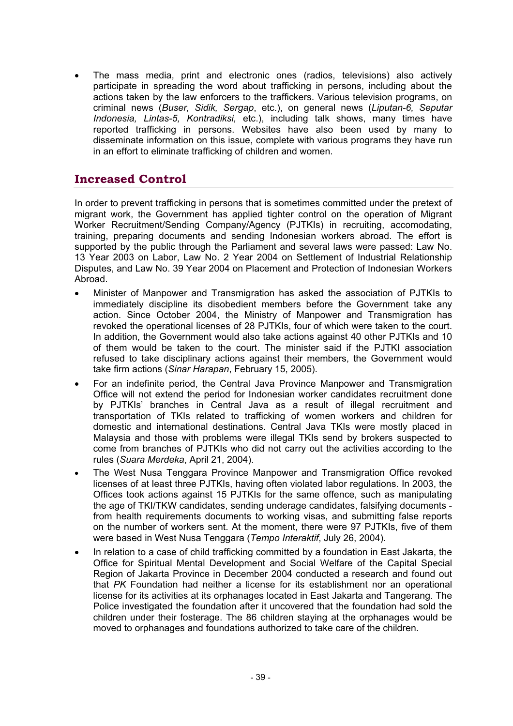The mass media, print and electronic ones (radios, televisions) also actively participate in spreading the word about trafficking in persons, including about the actions taken by the law enforcers to the traffickers. Various television programs, on criminal news (*Buser, Sidik, Sergap*, etc.), on general news (*Liputan-6, Seputar Indonesia, Lintas-5, Kontradiksi,* etc.), including talk shows, many times have reported trafficking in persons. Websites have also been used by many to disseminate information on this issue, complete with various programs they have run in an effort to eliminate trafficking of children and women.

#### **Increased Control**

In order to prevent trafficking in persons that is sometimes committed under the pretext of migrant work, the Government has applied tighter control on the operation of Migrant Worker Recruitment/Sending Company/Agency (PJTKIs) in recruiting, accomodating, training, preparing documents and sending Indonesian workers abroad. The effort is supported by the public through the Parliament and several laws were passed: Law No. 13 Year 2003 on Labor, Law No. 2 Year 2004 on Settlement of Industrial Relationship Disputes, and Law No. 39 Year 2004 on Placement and Protection of Indonesian Workers Abroad.

- x Minister of Manpower and Transmigration has asked the association of PJTKIs to immediately discipline its disobedient members before the Government take any action. Since October 2004, the Ministry of Manpower and Transmigration has revoked the operational licenses of 28 PJTKIs, four of which were taken to the court. In addition, the Government would also take actions against 40 other PJTKIs and 10 of them would be taken to the court. The minister said if the PJTKI association refused to take disciplinary actions against their members, the Government would take firm actions (*Sinar Harapan*, February 15, 2005).
- For an indefinite period, the Central Java Province Manpower and Transmigration Office will not extend the period for Indonesian worker candidates recruitment done by PJTKIs' branches in Central Java as a result of illegal recruitment and transportation of TKIs related to trafficking of women workers and children for domestic and international destinations. Central Java TKIs were mostly placed in Malaysia and those with problems were illegal TKIs send by brokers suspected to come from branches of PJTKIs who did not carry out the activities according to the rules (*Suara Merdeka*, April 21, 2004).
- The West Nusa Tenggara Province Manpower and Transmigration Office revoked licenses of at least three PJTKIs, having often violated labor regulations. In 2003, the Offices took actions against 15 PJTKIs for the same offence, such as manipulating the age of TKI/TKW candidates, sending underage candidates, falsifying documents from health requirements documents to working visas, and submitting false reports on the number of workers sent. At the moment, there were 97 PJTKIs, five of them were based in West Nusa Tenggara (*Tempo Interaktif*, July 26, 2004).
- In relation to a case of child trafficking committed by a foundation in East Jakarta, the Office for Spiritual Mental Development and Social Welfare of the Capital Special Region of Jakarta Province in December 2004 conducted a research and found out that *PK* Foundation had neither a license for its establishment nor an operational license for its activities at its orphanages located in East Jakarta and Tangerang. The Police investigated the foundation after it uncovered that the foundation had sold the children under their fosterage. The 86 children staying at the orphanages would be moved to orphanages and foundations authorized to take care of the children.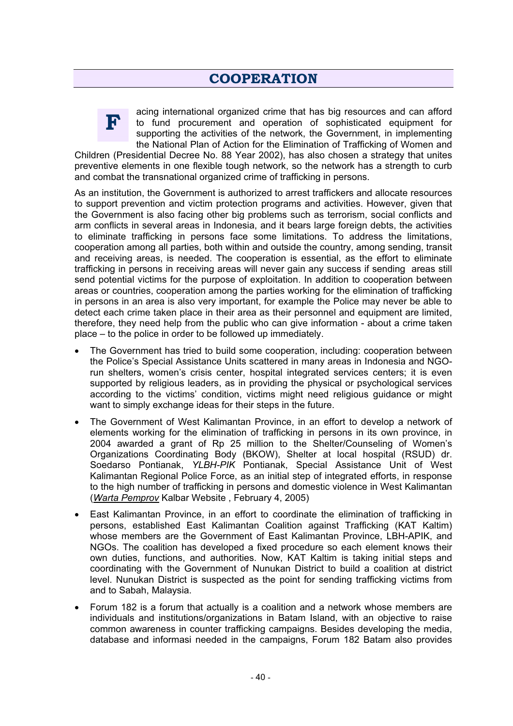#### **COOPERATION**



acing international organized crime that has big resources and can afford to fund procurement and operation of sophisticated equipment for supporting the activities of the network, the Government, in implementing the National Plan of Action for the Elimination of Trafficking of Women and

Children (Presidential Decree No. 88 Year 2002), has also chosen a strategy that unites preventive elements in one flexible tough network, so the network has a strength to curb and combat the transnational organized crime of trafficking in persons.

As an institution, the Government is authorized to arrest traffickers and allocate resources to support prevention and victim protection programs and activities. However, given that the Government is also facing other big problems such as terrorism, social conflicts and arm conflicts in several areas in Indonesia, and it bears large foreign debts, the activities to eliminate trafficking in persons face some limitations. To address the limitations, cooperation among all parties, both within and outside the country, among sending, transit and receiving areas, is needed. The cooperation is essential, as the effort to eliminate trafficking in persons in receiving areas will never gain any success if sending areas still send potential victims for the purpose of exploitation. In addition to cooperation between areas or countries, cooperation among the parties working for the elimination of trafficking in persons in an area is also very important, for example the Police may never be able to detect each crime taken place in their area as their personnel and equipment are limited, therefore, they need help from the public who can give information - about a crime taken place – to the police in order to be followed up immediately.

- The Government has tried to build some cooperation, including: cooperation between the Police's Special Assistance Units scattered in many areas in Indonesia and NGOrun shelters, women's crisis center, hospital integrated services centers; it is even supported by religious leaders, as in providing the physical or psychological services according to the victims' condition, victims might need religious guidance or might want to simply exchange ideas for their steps in the future.
- The Government of West Kalimantan Province, in an effort to develop a network of elements working for the elimination of trafficking in persons in its own province, in 2004 awarded a grant of Rp 25 million to the Shelter/Counseling of Women's Organizations Coordinating Body (BKOW), Shelter at local hospital (RSUD) dr. Soedarso Pontianak, *YLBH-PIK* Pontianak, Special Assistance Unit of West Kalimantan Regional Police Force, as an initial step of integrated efforts, in response to the high number of trafficking in persons and domestic violence in West Kalimantan (*Warta Pemprov* Kalbar Website , February 4, 2005)
- East Kalimantan Province, in an effort to coordinate the elimination of trafficking in persons, established East Kalimantan Coalition against Trafficking (KAT Kaltim) whose members are the Government of East Kalimantan Province, LBH-APIK, and NGOs. The coalition has developed a fixed procedure so each element knows their own duties, functions, and authorities. Now, KAT Kaltim is taking initial steps and coordinating with the Government of Nunukan District to build a coalition at district level. Nunukan District is suspected as the point for sending trafficking victims from and to Sabah, Malaysia.
- Forum 182 is a forum that actually is a coalition and a network whose members are individuals and institutions/organizations in Batam Island, with an objective to raise common awareness in counter trafficking campaigns. Besides developing the media, database and informasi needed in the campaigns, Forum 182 Batam also provides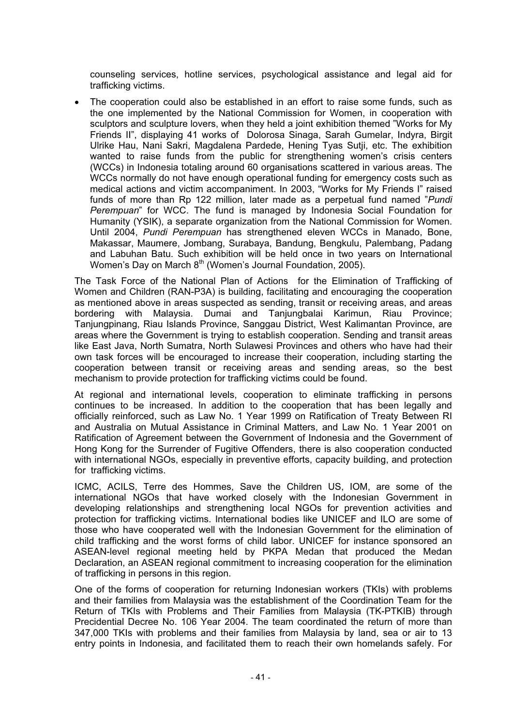counseling services, hotline services, psychological assistance and legal aid for trafficking victims.

• The cooperation could also be established in an effort to raise some funds, such as the one implemented by the National Commission for Women, in cooperation with sculptors and sculpture lovers, when they held a joint exhibition themed "Works for My Friends II", displaying 41 works of Dolorosa Sinaga, Sarah Gumelar, Indyra, Birgit Ulrike Hau, Nani Sakri, Magdalena Pardede, Hening Tyas Sutji, etc. The exhibition wanted to raise funds from the public for strengthening women's crisis centers (WCCs) in Indonesia totaling around 60 organisations scattered in various areas. The WCCs normally do not have enough operational funding for emergency costs such as medical actions and victim accompaniment. In 2003, "Works for My Friends I" raised funds of more than Rp 122 million, later made as a perpetual fund named "*Pundi Perempuan*" for WCC. The fund is managed by Indonesia Social Foundation for Humanity (YSIK), a separate organization from the National Commission for Women. Until 2004, *Pundi Perempuan* has strengthened eleven WCCs in Manado, Bone, Makassar, Maumere, Jombang, Surabaya, Bandung, Bengkulu, Palembang, Padang and Labuhan Batu. Such exhibition will be held once in two years on International Women's Day on March 8<sup>th</sup> (Women's Journal Foundation, 2005).

The Task Force of the National Plan of Actions for the Elimination of Trafficking of Women and Children (RAN-P3A) is building, facilitating and encouraging the cooperation as mentioned above in areas suspected as sending, transit or receiving areas, and areas bordering with Malaysia. Dumai and Tanjungbalai Karimun, Riau Province; Tanjungpinang, Riau Islands Province, Sanggau District, West Kalimantan Province, are areas where the Government is trying to establish cooperation. Sending and transit areas like East Java, North Sumatra, North Sulawesi Provinces and others who have had their own task forces will be encouraged to increase their cooperation, including starting the cooperation between transit or receiving areas and sending areas, so the best mechanism to provide protection for trafficking victims could be found.

At regional and international levels, cooperation to eliminate trafficking in persons continues to be increased. In addition to the cooperation that has been legally and officially reinforced, such as Law No. 1 Year 1999 on Ratification of Treaty Between RI and Australia on Mutual Assistance in Criminal Matters, and Law No. 1 Year 2001 on Ratification of Agreement between the Government of Indonesia and the Government of Hong Kong for the Surrender of Fugitive Offenders, there is also cooperation conducted with international NGOs, especially in preventive efforts, capacity building, and protection for trafficking victims.

ICMC, ACILS, Terre des Hommes, Save the Children US, IOM, are some of the international NGOs that have worked closely with the Indonesian Government in developing relationships and strengthening local NGOs for prevention activities and protection for trafficking victims. International bodies like UNICEF and ILO are some of those who have cooperated well with the Indonesian Government for the elimination of child trafficking and the worst forms of child labor. UNICEF for instance sponsored an ASEAN-level regional meeting held by PKPA Medan that produced the Medan Declaration, an ASEAN regional commitment to increasing cooperation for the elimination of trafficking in persons in this region.

One of the forms of cooperation for returning Indonesian workers (TKIs) with problems and their families from Malaysia was the establishment of the Coordination Team for the Return of TKIs with Problems and Their Families from Malaysia (TK-PTKIB) through Precidential Decree No. 106 Year 2004. The team coordinated the return of more than 347,000 TKIs with problems and their families from Malaysia by land, sea or air to 13 entry points in Indonesia, and facilitated them to reach their own homelands safely. For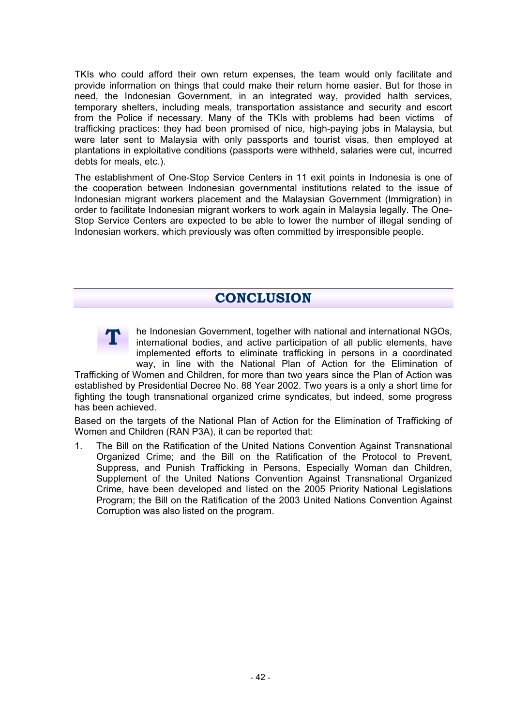TKIs who could afford their own return expenses, the team would only facilitate and provide information on things that could make their return home easier. But for those in need, the Indonesian Government, in an integrated way, provided halth services, temporary shelters, including meals, transportation assistance and security and escort from the Police if necessary. Many of the TKIs with problems had been victims of trafficking practices: they had been promised of nice, high-paying jobs in Malaysia, but were later sent to Malaysia with only passports and tourist visas, then employed at plantations in exploitative conditions (passports were withheld, salaries were cut, incurred debts for meals, etc.).

The establishment of One-Stop Service Centers in 11 exit points in Indonesia is one of the cooperation between Indonesian governmental institutions related to the issue of Indonesian migrant workers placement and the Malaysian Government (Immigration) in order to facilitate Indonesian migrant workers to work again in Malaysia legally. The One-Stop Service Centers are expected to be able to lower the number of illegal sending of Indonesian workers, which previously was often committed by irresponsible people.

#### **CONCERNSION**



he Indonesian Government, together with national and international NGOs, international bodies, and active participation of all public elements, have implemented efforts to eliminate trafficking in persons in a coordinated way, in line with the National Plan of Action for the Elimination of

Trafficking of Women and Children, for more than two years since the Plan of Action was established by Presidential Decree No. 88 Year 2002. Two years is a only a short time for fighting the tough transnational organized crime syndicates, but indeed, some progress has been achieved.

Based on the targets of the National Plan of Action for the Elimination of Trafficking of Women and Children (RAN P3A), it can be reported that:

1. The Bill on the Ratification of the United Nations Convention Against Transnational Organized Crime; and the Bill on the Ratification of the Protocol to Prevent, Suppress, and Punish Trafficking in Persons, Especially Woman dan Children, Supplement of the United Nations Convention Against Transnational Organized Crime, have been developed and listed on the 2005 Priority National Legislations Program; the Bill on the Ratification of the 2003 United Nations Convention Against Corruption was also listed on the program.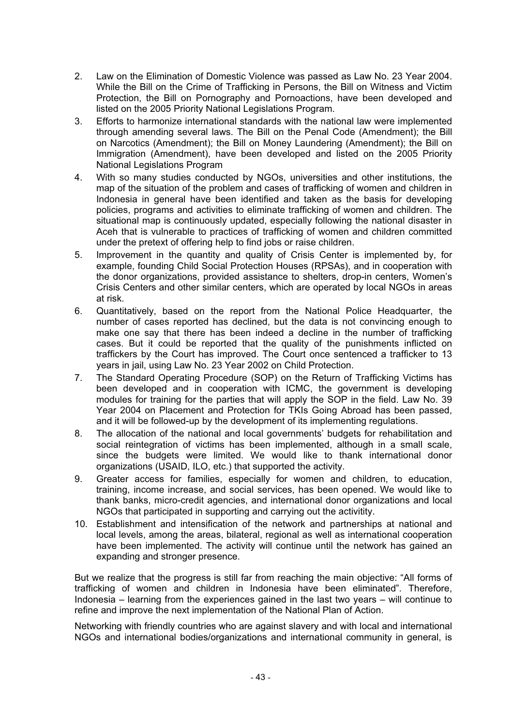- 2. Law on the Elimination of Domestic Violence was passed as Law No. 23 Year 2004. While the Bill on the Crime of Trafficking in Persons, the Bill on Witness and Victim Protection, the Bill on Pornography and Pornoactions, have been developed and listed on the 2005 Priority National Legislations Program.
- 3. Efforts to harmonize international standards with the national law were implemented through amending several laws. The Bill on the Penal Code (Amendment); the Bill on Narcotics (Amendment); the Bill on Money Laundering (Amendment); the Bill on Immigration (Amendment), have been developed and listed on the 2005 Priority National Legislations Program
- 4. With so many studies conducted by NGOs, universities and other institutions, the map of the situation of the problem and cases of trafficking of women and children in Indonesia in general have been identified and taken as the basis for developing policies, programs and activities to eliminate trafficking of women and children. The situational map is continuously updated, especially following the national disaster in Aceh that is vulnerable to practices of trafficking of women and children committed under the pretext of offering help to find jobs or raise children.
- 5. Improvement in the quantity and quality of Crisis Center is implemented by, for example, founding Child Social Protection Houses (RPSAs), and in cooperation with the donor organizations, provided assistance to shelters, drop-in centers, Women's Crisis Centers and other similar centers, which are operated by local NGOs in areas at risk.
- 6. Quantitatively, based on the report from the National Police Headquarter, the number of cases reported has declined, but the data is not convincing enough to make one say that there has been indeed a decline in the number of trafficking cases. But it could be reported that the quality of the punishments inflicted on traffickers by the Court has improved. The Court once sentenced a trafficker to 13 years in jail, using Law No. 23 Year 2002 on Child Protection.
- 7. The Standard Operating Procedure (SOP) on the Return of Trafficking Victims has been developed and in cooperation with ICMC, the government is developing modules for training for the parties that will apply the SOP in the field. Law No. 39 Year 2004 on Placement and Protection for TKIs Going Abroad has been passed, and it will be followed-up by the development of its implementing regulations.
- 8. The allocation of the national and local governments' budgets for rehabilitation and social reintegration of victims has been implemented, although in a small scale, since the budgets were limited. We would like to thank international donor organizations (USAID, ILO, etc.) that supported the activity.
- 9. Greater access for families, especially for women and children, to education, training, income increase, and social services, has been opened. We would like to thank banks, micro-credit agencies, and international donor organizations and local NGOs that participated in supporting and carrying out the activitity.
- 10. Establishment and intensification of the network and partnerships at national and local levels, among the areas, bilateral, regional as well as international cooperation have been implemented. The activity will continue until the network has gained an expanding and stronger presence.

But we realize that the progress is still far from reaching the main objective: "All forms of trafficking of women and children in Indonesia have been eliminated". Therefore, Indonesia – learning from the experiences gained in the last two years – will continue to refine and improve the next implementation of the National Plan of Action.

Networking with friendly countries who are against slavery and with local and international NGOs and international bodies/organizations and international community in general, is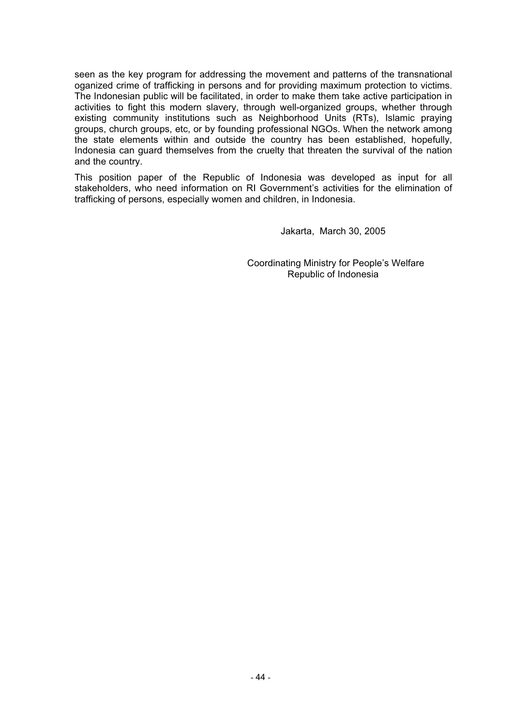seen as the key program for addressing the movement and patterns of the transnational oganized crime of trafficking in persons and for providing maximum protection to victims. The Indonesian public will be facilitated, in order to make them take active participation in activities to fight this modern slavery, through well-organized groups, whether through existing community institutions such as Neighborhood Units (RTs), Islamic praying groups, church groups, etc, or by founding professional NGOs. When the network among the state elements within and outside the country has been established, hopefully, Indonesia can guard themselves from the cruelty that threaten the survival of the nation and the country.

This position paper of the Republic of Indonesia was developed as input for all stakeholders, who need information on RI Government's activities for the elimination of trafficking of persons, especially women and children, in Indonesia.

Jakarta, March 30, 2005

 Coordinating Ministry for People's Welfare Republic of Indonesia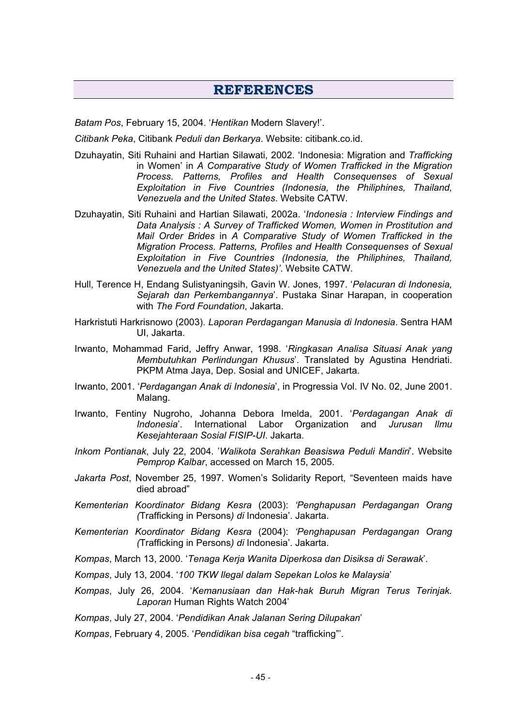#### **REFERENCES**

*Batam Pos*, February 15, 2004. '*Hentikan* Modern Slavery!'.

*Citibank Peka*, Citibank *Peduli dan Berkarya*. Website: citibank.co.id.

- Dzuhayatin, Siti Ruhaini and Hartian Silawati, 2002. 'Indonesia: Migration and *Trafficking* in Women' in *A Comparative Study of Women Trafficked in the Migration Process. Patterns, Profiles and Health Consequenses of Sexual Exploitation in Five Countries (Indonesia, the Philiphines, Thailand, Venezuela and the United States*. Website CATW.
- Dzuhayatin, Siti Ruhaini and Hartian Silawati, 2002a. '*Indonesia : Interview Findings and Data Analysis : A Survey of Trafficked Women, Women in Prostitution and Mail Order Brides* in *A Comparative Study of Women Trafficked in the Migration Process. Patterns, Profiles and Health Consequenses of Sexual Exploitation in Five Countries (Indonesia, the Philiphines, Thailand, Venezuela and the United States)'*. Website CATW.
- Hull, Terence H, Endang Sulistyaningsih, Gavin W. Jones, 1997. '*Pelacuran di Indonesia, Sejarah dan Perkembangannya*'. Pustaka Sinar Harapan, in cooperation with *The Ford Foundation*, Jakarta.
- Harkristuti Harkrisnowo (2003). *Laporan Perdagangan Manusia di Indonesia*. Sentra HAM UI, Jakarta.
- Irwanto, Mohammad Farid, Jeffry Anwar, 1998. '*Ringkasan Analisa Situasi Anak yang Membutuhkan Perlindungan Khusus*'. Translated by Agustina Hendriati. PKPM Atma Jaya, Dep. Sosial and UNICEF, Jakarta.
- Irwanto, 2001. '*Perdagangan Anak di Indonesia*', in Progressia Vol. IV No. 02, June 2001. Malang.
- Irwanto, Fentiny Nugroho, Johanna Debora Imelda, 2001. '*Perdagangan Anak di Indonesia*'. International Labor Organization and *Jurusan Ilmu Kesejahteraan Sosial FISIP-UI*. Jakarta.
- *Inkom Pontianak*, July 22, 2004. '*Walikota Serahkan Beasiswa Peduli Mandiri*'. Website *Pemprop Kalbar*, accessed on March 15, 2005.
- *Jakarta Post*, November 25, 1997. Women's Solidarity Report, "Seventeen maids have died abroad"
- *Kementerian Koordinator Bidang Kesra* (2003): *'Penghapusan Perdagangan Orang (*Trafficking in Persons*) di* Indonesia'. Jakarta.
- *Kementerian Koordinator Bidang Kesra* (2004): *'Penghapusan Perdagangan Orang (*Trafficking in Persons*) di* Indonesia'. Jakarta.
- *Kompas*, March 13, 2000. '*Tenaga Kerja Wanita Diperkosa dan Disiksa di Serawak*'.
- *Kompas*, July 13, 2004. '*100 TKW Ilegal dalam Sepekan Lolos ke Malaysia*'
- *Kompas*, July 26, 2004. '*Kemanusiaan dan Hak-hak Buruh Migran Terus Terinjak. Laporan* Human Rights Watch 2004'

*Kompas*, July 27, 2004. '*Pendidikan Anak Jalanan Sering Dilupakan*'

*Kompas*, February 4, 2005. '*Pendidikan bisa cegah* "trafficking"'.